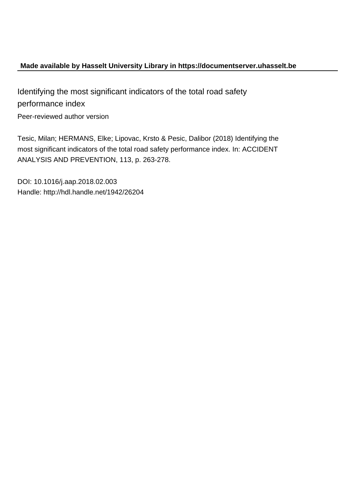# **Made available by Hasselt University Library in https://documentserver.uhasselt.be**

Identifying the most significant indicators of the total road safety performance index Peer-reviewed author version

Tesic, Milan; HERMANS, Elke; Lipovac, Krsto & Pesic, Dalibor (2018) Identifying the most significant indicators of the total road safety performance index. In: ACCIDENT ANALYSIS AND PREVENTION, 113, p. 263-278.

DOI: 10.1016/j.aap.2018.02.003 Handle: http://hdl.handle.net/1942/26204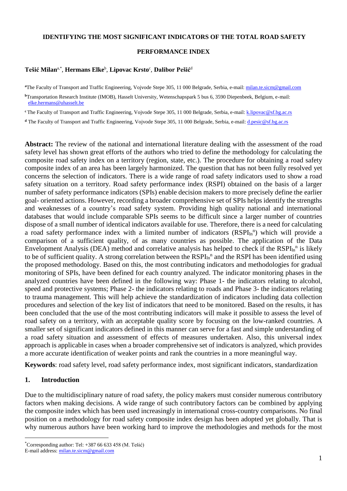#### **IDENTIFYING THE MOST SIGNIFICANT INDICATORS OF THE TOTAL ROAD SAFETY**

#### **PERFORMANCE INDEX**

#### **Tešić Milan**a,\* , **Hermans Elke**<sup>b</sup> , **Lipovac Krsto**<sup>c</sup> , **Dalibor Pešić**<sup>d</sup>

**<sup>a</sup>**The Faculty of Transport and Traffic Engineering, Vojvode Stepe 305, 11 000 Belgrade, Serbia, e-mail[: milan.te.sicm@gmail.com](mailto:milan.te.sicm@gmail.com)

**<sup>b</sup>**Transportation Research Institute (IMOB), Hasselt University, Wetenschapspark 5 bus 6, 3590 Diepenbeek, Belgium, e-mail: [elke.hermans@uhasselt.be](mailto:elke.hermans@uhasselt.be)

**<sup>c</sup>**The Faculty of Transport and Traffic Engineering, Vojvode Stepe 305, 11 000 Belgrade, Serbia, e-mail: [k.lipovac@sf.bg.ac.rs](mailto:k.lipovac@sf.bg.ac.rs)

**<sup>d</sup>** The Faculty of Transport and Traffic Engineering, Vojvode Stepe 305, 11 000 Belgrade, Serbia, e-mail[: d.pesic@sf.bg.ac.rs](mailto:d.pesic@sf.bg.ac.rs)

**Abstract:** The review of the national and international literature dealing with the assessment of the road safety level has shown great efforts of the authors who tried to define the methodology for calculating the composite road safety index on a territory (region, state, etc.). The procedure for obtaining a road safety composite index of an area has been largely harmonized. The question that has not been fully resolved yet concerns the selection of indicators. There is a wide range of road safety indicators used to show a road safety situation on a territory. Road safety performance index (RSPI) obtained on the basis of a larger number of safety performance indicators (SPIs) enable decision makers to more precisely define the earlier goal- oriented actions. However, recording a broader comprehensive set of SPIs helps identify the strengths and weaknesses of a country's road safety system. Providing high quality national and international databases that would include comparable SPIs seems to be difficult since a larger number of countries dispose of a small number of identical indicators available for use. Therefore, there is a need for calculating a road safety performance index with a limited number of indicators (RSPI<sub>ln</sub><sup>n</sup>) which will provide a comparison of a sufficient quality, of as many countries as possible. The application of the Data Envelopment Analysis (DEA) method and correlative analysis has helped to check if the  $RSPI<sub>ln</sub><sup>n</sup>$  is likely to be of sufficient quality. A strong correlation between the  $RSPI<sub>ln</sub><sup>n</sup>$  and the RSPI has been identified using the proposed methodology. Based on this, the most contributing indicators and methodologies for gradual monitoring of SPIs, have been defined for each country analyzed. The indicator monitoring phases in the analyzed countries have been defined in the following way: Phase 1- the indicators relating to alcohol, speed and protective systems; Phase 2- the indicators relating to roads and Phase 3- the indicators relating to trauma management. This will help achieve the standardization of indicators including data collection procedures and selection of the key list of indicators that need to be monitored. Based on the results, it has been concluded that the use of the most contributing indicators will make it possible to assess the level of road safety on a territory, with an acceptable quality score by focusing on the low-ranked countries. A smaller set of significant indicators defined in this manner can serve for a fast and simple understanding of a road safety situation and assessment of effects of measures undertaken. Also, this universal index approach is applicable in cases when a broader comprehensive set of indicators is analyzed, which provides a more accurate identification of weaker points and rank the countries in a more meaningful way.

**Keywords**: road safety level, road safety performance index, most significant indicators, standardization

# **1. Introduction**

 $\overline{a}$ 

Due to the multidisciplinary nature of road safety, the policy makers must consider numerous contributory factors when making decisions. A wide range of such contributory factors can be combined by applying the composite index which has been used increasingly in international cross-country comparisons. No final position on a methodology for road safety composite index design has been adopted yet globally. That is why numerous authors have been working hard to improve the methodologies and methods for the most

 $^*$ Corresponding author: Tel:  $+387$  66 633 458 (M. Tešić)

E-mail address: [milan.te.sicm@gmail.com](mailto:milan.te.sicm@gmail.com)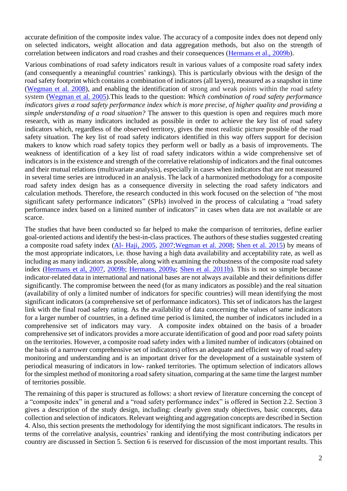accurate definition of the composite index value. The accuracy of a composite index does not depend only on selected indicators, weight allocation and data aggregation methods, but also on the strength of correlation between indicators and road crashes and their consequences [\(Hermans et al., 2009b\)](#page-27-0).

Various combinations of road safety indicators result in various values of a composite road safety index (and consequently a meaningful countries' rankings). This is particularly obvious with the design of the road safety footprint which contains a combination of indicators (all layers), measured as a snapshot in time [\(Wegman et al. 2008\)](#page-28-0), and enabling the identification of strong and weak points within the road safety system [\(Wegman et al. 2005\)](#page-28-1).This leads to the question: *Which combination of road safety performance indicators gives a road safety performance index which is more precise, of higher quality and providing a simple understanding of a road situation?* The answer to this question is open and requires much more research, with as many indicators included as possible in order to achieve the key list of road safety indicators which, regardless of the observed territory, gives the most realistic picture possible of the road safety situation. The key list of road safety indicators identified in this way offers support for decision makers to know which road safety topics they perform well or badly as a basis of improvements. The weakness of identification of a key list of road safety indicators within a wide comprehensive set of indicators is in the existence and strength of the correlative relationship of indicators and the final outcomes and their mutual relations (multivariate analysis), especially in cases when indicators that are not measured in several time series are introduced in an analysis. The lack of a harmonized methodology for a composite road safety index design has as a consequence diversity in selecting the road safety indicators and calculation methods. Therefore, the research conducted in this work focused on the selection of "the most significant safety performance indicators" (SPIs) involved in the process of calculating a "road safety performance index based on a limited number of indicators" in cases when data are not available or are scarce.

The studies that have been conducted so far helped to make the comparison of territories, define earlier goal-oriented actions and identify the best-in-class practices. The authors of these studies suggested creating a composite road safety index (Al- [Haji, 2005,](#page-26-0) [2007](#page-26-1)[;Wegman et al. 2008;](#page-28-0) [Shen et al. 2015\)](#page-27-1) by means of the most appropriate indicators, i.e. those having a high data availability and acceptability rate, as well as including as many indicators as possible, along with examining the robustness of the composite road safety index (Hermans [et al, 2007,](#page-27-2) [2009b;](#page-27-0) Hermans, 2009a; [Shen et al. 2011b\)](#page-28-2). This is not so simple because indicator-related data in international and national bases are not always available and their definitions differ significantly. The compromise between the need (for as many indicators as possible) and the real situation (availability of only a limited number of indicators for specific countries) will mean identifying the most significant indicators (a comprehensive set of performance indicators). This set of indicators has the largest link with the final road safety rating. As the availability of data concerning the values of same indicators for a larger number of countries, in a defined time period is limited, the number of indicators included in a comprehensive set of indicators may vary. A composite index obtained on the basis of a broader comprehensive set of indicators provides a more accurate identification of good and poor road safety points on the territories. However, a composite road safety index with a limited number of indicators (obtained on the basis of a narrower comprehensive set of indicators) offers an adequate and efficient way of road safety monitoring and understanding and is an important driver for the development of a sustainable system of periodical measuring of indicators in low- ranked territories. The optimum selection of indicators allows for the simplest method of monitoring a road safety situation, comparing at the same time the largest number of territories possible.

The remaining of this paper is structured as follows: a short review of literature concerning the concept of a "composite index" in general and a "road safety performance index" is offered in Section 2.2. Section 3 gives a description of the study design, including: clearly given study objectives, basic concepts, data collection and selection of indicators. Relevant weighting and aggregation concepts are described in Section 4. Also, this section presents the methodology for identifying the most significant indicators. The results in terms of the correlative analysis, countries' ranking and identifying the most contributing indicators per country are discussed in Section 5. Section 6 is reserved for discussion of the most important results. This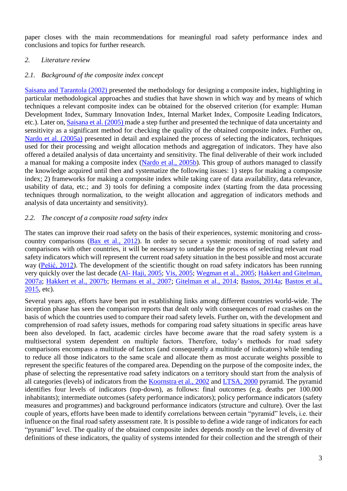paper closes with the main recommendations for meaningful road safety performance index and conclusions and topics for further research.

#### *2. Literature review*

#### *2.1. Background of the composite index concept*

[Saisana and Tarantola \(2002\)](#page-27-3) presented the methodology for designing a composite index, highlighting in particular methodological approaches and studies that have shown in which way and by means of which techniques a relevant composite index can be obtained for the observed criterion (for example: Human Development Index, Summary Innovation Index, Internal Market Index, Composite Leading Indicators, etc.). Later on, [Saisana et al. \(2005\)](#page-27-4) made a step further and presented the technique of data uncertainty and sensitivity as a significant method for checking the quality of the obtained composite index. Further on, [Nardo et al. \(2005a\)](#page-27-5) presented in detail and explained the process of selecting the indicators, techniques used for their processing and weight allocation methods and aggregation of indicators. They have also offered a detailed analysis of data uncertainty and sensitivity. The final deliverable of their work included a manual for making a composite index [\(Nardo et al.,](#page-27-6) 2005b). This group of authors managed to classify the knowledge acquired until then and systematize the following issues: 1) steps for making a composite index; 2) frameworks for making a composite index while taking care of data availability, data relevance, usability of data, etc.; and 3) tools for defining a composite index (starting from the data processing techniques through normalization, to the weight allocation and aggregation of indicators methods and analysis of data uncertainty and sensitivity).

# *2.2. The concept of a composite road safety index*

The states can improve their road safety on the basis of their experiences, systemic monitoring and cross-country comparisons [\(Bax et al.,](#page-26-2) 2012). In order to secure a systemic monitoring of road safety and comparisons with other countries, it will be necessary to undertake the process of selecting relevant road safety indicators which will represent the current road safety situation in the best possible and most accurate way [\(Pešić, 2012\)](#page-27-7). The development of the scientific thought on road safety indicators has been running very quickly over the last decade (Al- [Haji, 2005;](#page-26-0) [Vis, 2005;](#page-28-3) [Wegman et al.,](#page-28-1) 2005; [Hakkert and Gitelman,](#page-27-8)  [2007a; Hakkert et al.,](#page-27-8) 2007b; [Hermans et al.,](#page-27-2) 2007; [Gitelman et al.,](#page-26-3) 2014; [Bastos, 2014a;](#page-26-4) [Bastos et al.,](#page-26-5) [2015,](#page-26-5) etc).

Several years ago, efforts have been put in establishing links among different countries world-wide. The inception phase has seen the comparison reports that dealt only with consequences of road crashes on the basis of which the countries used to compare their road safety levels. Further on, with the development and comprehension of road safety issues, methods for comparing road safety situations in specific areas have been also developed. In fact, academic circles have become aware that the road safety system is a multisectoral system dependent on multiple factors. Therefore, today's methods for road safety comparisons encompass a multitude of factors (and consequently a multitude of indicators) while tending to reduce all those indicators to the same scale and allocate them as most accurate weights possible to represent the specific features of the compared area. Depending on the purpose of the composite index, the phase of selecting the representative road safety indicators on a territory should start from the analysis of all categories (levels) of indicators from the [Koornstra et al.,](#page-27-9) 2002 and [LTSA, 2000](#page-27-10) pyramid. The pyramid identifies four levels of indicators (top-down), as follows: final outcomes (e.g. deaths per 100.000 inhabitants); intermediate outcomes (safety performance indicators); policy performance indicators (safety measures and programmes) and background performance indicators (structure and culture). Over the last couple of years, efforts have been made to identify correlations between certain "pyramid" levels, i.e. their influence on the final road safety assessment rate. It is possible to define a wide range of indicators for each "pyramid" level. The quality of the obtained composite index depends mostly on the level of diversity of definitions of these indicators, the quality of systems intended for their collection and the strength of their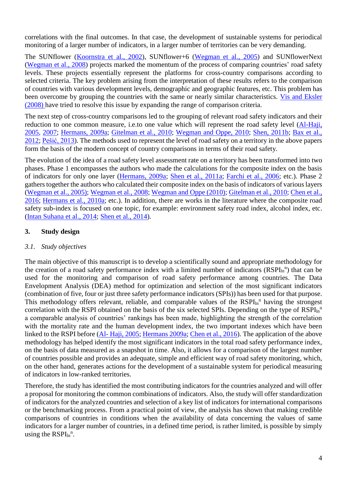correlations with the final outcomes. In that case, the development of sustainable systems for periodical monitoring of a larger number of indicators, in a larger number of territories can be very demanding.

The SUNflower [\(Koornstra et](#page-27-9) al., 2002), SUNflower+6 [\(Wegman et al.,](#page-28-1) 2005) and SUNflowerNext [\(Wegman et al.,](#page-28-0) 2008) projects marked the momentum of the process of comparing countries' road safety levels. These projects essentially represent the platforms for cross-country comparisons according to selected criteria. The key problem arising from the interpretation of these results refers to the comparison of countries with various development levels, demographic and geographic features, etc. This problem has been overcome by grouping the countries with the same or nearly similar characteristics. [Vis and Eksler](#page-28-4)  [\(2008\)](#page-28-4) have tried to resolve this issue by expanding the range of comparison criteria.

The next step of cross-country comparisons led to the grouping of relevant road safety indicators and their reduction to one common measure, i.e.to one value which will represent the road safety level [\(Al-Haji,](#page-26-0)  [2005,](#page-26-0) [2007;](#page-26-1) Hermans, 2009a; [Gitelman et al.,](#page-26-6) 2010; [Wegman and Oppe, 2010;](#page-28-5) [Shen, 2011b;](#page-28-2) [Bax et al.,](#page-26-2) [2012;](#page-26-2) [Pešić, 2013\)](#page-27-7). The methods used to represent the level of road safety on a territory in the above papers form the basis of the modern concept of country comparisons in terms of their road safety.

The evolution of the idea of a road safety level assessment rate on a territory has been transformed into two phases. Phase 1 encompasses the authors who made the calculations for the composite index on the basis of indicators for only one layer [\(Hermans, 2009a;](#page-27-11) [Shen et al.,](#page-28-6) 2011a; [Farchi et al., 2006;](#page-26-7) etc.). Phase 2 gathers together the authors who calculated their composite index on the basis of indicators of various layers [\(Wegman et al.,](#page-28-1) 2005); [Wegman et al.,](#page-28-0) 2008; [Wegman and Oppe \(2010\);](#page-28-5) [Gitelman et al.,](#page-26-6) 2010; [Chen et al.,](#page-26-8) [2016;](#page-26-8) Hermans et al., 2010a; etc.). In addition, there are works in the literature where the composite road safety sub-index is focused on one topic, for example: environment safety road index, alcohol index, etc. [\(Intan Suhana et al.,](#page-27-12) 2014; [Shen et al.,](#page-27-4) 2014).

# **3. Study design**

# *3.1. Study objectives*

The main objective of this manuscript is to develop a scientifically sound and appropriate methodology for the creation of a road safety performance index with a limited number of indicators (RSPI<sub>ln</sub><sup>n</sup>) that can be used for the monitoring and comparison of road safety performance among countries. The Data Envelopment Analysis (DEA) method for optimization and selection of the most significant indicators (combination of five, four or just three safety performance indicators (SPIs)) has been used for that purpose. This methodology offers relevant, reliable, and comparable values of the RSPI<sub>ln</sub><sup>n</sup> having the strongest correlation with the RSPI obtained on the basis of the six selected SPIs. Depending on the type of RSPI<sub>ln</sub><sup>n</sup> a comparable analysis of countries' rankings has been made, highlighting the strength of the correlation with the mortality rate and the human development index, the two important indexes which have been linked to the RSPI before (Al- [Haji, 2005;](#page-26-0) [Hermans 2009a;](#page-27-11) [Chen et al., 2016\)](#page-26-8). The application of the above methodology has helped identify the most significant indicators in the total road safety performance index, on the basis of data measured as a snapshot in time. Also, it allows for a comparison of the largest number of countries possible and provides an adequate, simple and efficient way of road safety monitoring, which, on the other hand, generates actions for the development of a sustainable system for periodical measuring of indicators in low-ranked territories.

Therefore, the study has identified the most contributing indicators for the countries analyzed and will offer a proposal for monitoring the common combinations of indicators. Also, the study will offer standardization of indicators for the analyzed countries and selection of a key list of indicators for international comparisons or the benchmarking process. From a practical point of view, the analysis has shown that making credible comparisons of countries in conditions when the availability of data concerning the values of same indicators for a larger number of countries, in a defined time period, is rather limited, is possible by simply using the  $RSPI<sub>ln</sub><sup>n</sup>$ .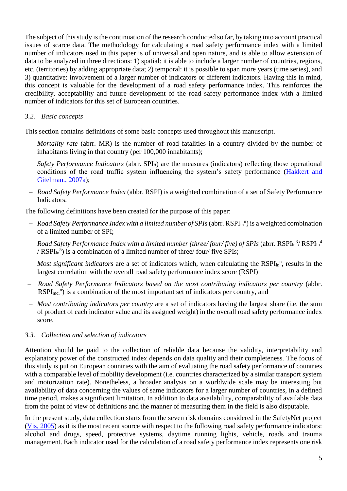The subject of this study is the continuation of the research conducted so far, by taking into account practical issues of scarce data. The methodology for calculating a road safety performance index with a limited number of indicators used in this paper is of universal and open nature, and is able to allow extension of data to be analyzed in three directions: 1) spatial: it is able to include a larger number of countries, regions, etc. (territories) by adding appropriate data; 2) temporal: it is possible to span more years (time series), and 3) quantitative: involvement of a larger number of indicators or different indicators. Having this in mind, this concept is valuable for the development of a road safety performance index. This reinforces the credibility, acceptability and future development of the road safety performance index with a limited number of indicators for this set of European countries.

# *3.2. Basic concepts*

This section contains definitions of some basic concepts used throughout this manuscript.

- *Mortality rate* (abrr. MR) is the number of road fatalities in a country divided by the number of inhabitants living in that country (per 100,000 inhabitants);
- *Safety Performance Indicators* (abrr. SPIs) are the measures (indicators) reflecting those operational conditions of the road traffic system influencing the system's safety performance [\(Hakkert and](#page-27-8)  [Gitelman.,](#page-27-8) 2007a);
- *Road Safety Performance Index* (abbr. RSPI) is a weighted combination of a set of Safety Performance Indicators.

The following definitions have been created for the purpose of this paper:

- Road Safety Performance Index with a limited number of SPIs (abrr. RSPI<sub>ln</sub><sup>n</sup>) is a weighted combination of a limited number of SPI;
- Road Safety Performance Index with a limited number (three/four/five) of SPIs (abrr. RSPI<sub>ln</sub><sup>3</sup>/ RSPI<sub>ln</sub><sup>4</sup> /  $RSPI_{ln}^{5}$ ) is a combination of a limited number of three/ four/ five SPIs;
- *Most significant indicators* are a set of indicators which, when calculating the RSPI<sub>ln</sub><sup>n</sup>, results in the largest correlation with the overall road safety performance index score (RSPI)
- *Road Safety Performance Indicators based on the most contributing indicators per country* (abbr.  $\text{RSPI}_{\text{mci}}^{n}$ ) is a combination of the most important set of indicators per country, and
- *Most contributing indicators per country* are a set of indicators having the largest share (i.e. the sum of product of each indicator value and its assigned weight) in the overall road safety performance index score.
- *3.3. Collection and selection of indicators*

Attention should be paid to the collection of reliable data because the validity, interpretability and explanatory power of the constructed index depends on data quality and their completeness. The focus of this study is put on European countries with the aim of evaluating the road safety performance of countries with a comparable level of mobility development (i.e. countries characterized by a similar transport system and motorization rate). Nonetheless, a broader analysis on a worldwide scale may be interesting but availability of data concerning the values of same indicators for a larger number of countries, in a defined time period, makes a significant limitation. In addition to data availability, comparability of available data from the point of view of definitions and the manner of measuring them in the field is also disputable.

In the present study, data collection starts from the seven risk domains considered in the SafetyNet project [\(Vis, 2005\)](#page-28-3) as it is the most recent source with respect to the following road safety performance indicators: alcohol and drugs, speed, protective systems, daytime running lights, vehicle, roads and trauma management. Each indicator used for the calculation of a road safety performance index represents one risk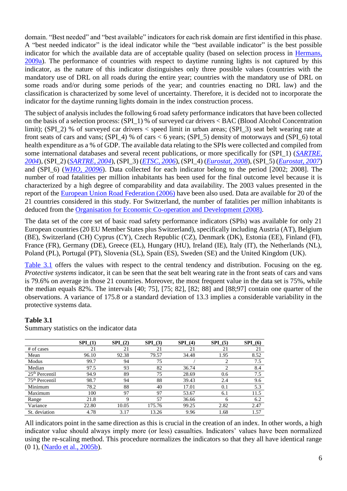domain. "Best needed" and "best available" indicators for each risk domain are first identified in this phase. A "best needed indicator" is the ideal indicator while the "best available indicator" is the best possible indicator for which the available data are of acceptable quality (based on selection process in Hermans, [2009a\)](#page-27-11). The performance of countries with respect to daytime running lights is not captured by this indicator, as the nature of this indicator distinguishes only three possible values (countries with the mandatory use of DRL on all roads during the entire year; countries with the mandatory use of DRL on some roads and/or during some periods of the year; and countries enacting no DRL law) and the classification is characterized by some level of uncertainty. Therefore, it is decided not to incorporate the indicator for the daytime running lights domain in the index construction process.

The subject of analysis includes the following 6 road safety performance indicators that have been collected on the basis of a selection process: (SPI\_1) % of surveyed car drivers < BAC (Blood Alcohol Concentration limit); (SPI\_2) % of surveyed car drivers < speed limit in urban areas; (SPI\_3) seat belt wearing rate at front seats of cars and vans; (SPI\_4) % of cars  $<$  6 years; (SPI\_5) density of motorways and (SPI\_6) total health expenditure as a % of GDP. The available data relating to the SPIs were collected and compiled from some international databases and several recent publications, or more specifically for (SPI\_1) (*[SARTRE,](#page-27-13)  [2004](#page-27-13)*), (SPI\_2) (*[SARTRE, 2004](#page-27-13)*), (SPI\_3) (*[ETSC, 2006](#page-26-9)*), (SPI\_4) (*[Eurostat, 2008](#page-26-10)*), (SPI\_5) (*[Eurostat, 2007](#page-26-11)*) and (SPI\_6) (*[WHO, 20096](#page-28-7)*). Data collected for each indicator belong to the period [2002; 2008]. The number of road fatalities per million inhabitants has been used for the final outcome level because it is characterized by a high degree of comparability and data availability. The 2003 values presented in the report of the [European Union Road Federation](#page-26-9) (2006) have been also used. Data are available for 20 of the 21 countries considered in this study. For Switzerland, the number of fatalities per million inhabitants is deduced from the [Organisation for Economic Co-operation and Development](#page-27-14) (2008).

The data set of the core set of basic road safety performance indicators (SPIs) was available for only 21 European countries (20 EU Member States plus Switzerland), specifically including Austria (AT), Belgium (BE), Switzerland (CH) Cyprus (CY), Czech Republic (CZ), Denmark (DK), Estonia (EE), Finland (FI), France (FR), Germany (DE), Greece (EL), Hungary (HU), Ireland (IE), Italy (IT), the Netherlands (NL), Poland (PL), Portugal (PT), Slovenia (SL), Spain (ES), Sweden (SE) and the United Kingdom (UK).

[Table 3.1](#page-6-0) offers the values with respect to the central tendency and distribution. Focusing on the eg. *Protective systems* indicator, it can be seen that the seat belt wearing rate in the front seats of cars and vans is 79.6% on average in those 21 countries. Moreover, the most frequent value in the data set is 75%, while the median equals 82%. The intervals [40; 75], [75; 82], [82; 88] and [88;97] contain one quarter of the observations. A variance of 175.8 or a standard deviation of 13.3 implies a considerable variability in the protective systems data.

# **Table 3.1**

Summary statistics on the indicator data

|                            | $SPI_1(1)$ | SPI(2) | SPI(3) | SPI(4) | SPI(5) | SPI(6) |
|----------------------------|------------|--------|--------|--------|--------|--------|
| # of cases                 | 21         | 21     | 21     | 21     | 21     | 21     |
| Mean                       | 96.10      | 92.38  | 79.57  | 34.48  | 1.95   | 8.52   |
| Modus                      | 99.7       | 94     | 75     |        | 2      | 7.5    |
| Median                     | 97.5       | 93     | 82     | 36.74  | ↑      | 8.4    |
| $25th$ Percentil           | 94.9       | 89     | 75     | 28.69  | 0.6    | 7.5    |
| 75 <sup>th</sup> Percentil | 98.7       | 94     | 88     | 39.43  | 2.4    | 9.6    |
| Minimum                    | 78.2       | 88     | 40     | 17.01  | 0.1    | 5.3    |
| Maximum                    | 100        | 97     | 97     | 53.67  | 6.1    | 11.5   |
| Range                      | 21.8       | 9      | 57     | 36.66  | 6      | 6.2    |
| Variance                   | 22.80      | 10.05  | 175.76 | 99.25  | 2.82   | 2.47   |
| St. deviation              | 4.78       | 3.17   | 13.26  | 9.96   | 1.68   | 1.57   |

<span id="page-6-0"></span>All indicators point in the same direction as this is crucial in the creation of an index. In other words, a high indicator value should always imply more (or less) casualties. Indicators' values have been normalized using the re-scaling method. This procedure normalizes the indicators so that they all have identical range (0 1), [\(Nardo et al., 2005b\)](#page-27-6).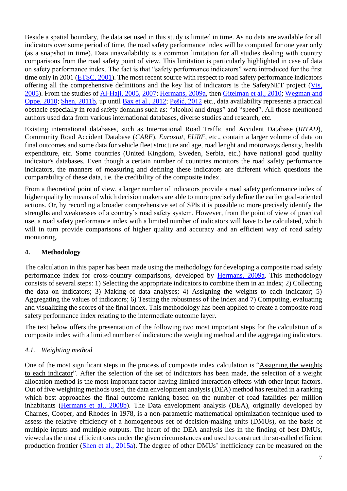Beside a spatial boundary, the data set used in this study is limited in time. As no data are available for all indicators over some period of time, the road safety performance index will be computed for one year only (as a snapshot in time). Data unavailability is a common limitation for all studies dealing with country comparisons from the road safety point of view. This limitation is particularly highlighted in case of data on safety performance index. The fact is that "safety performance indicators" were introduced for the first time only in 2001 [\(ETSC, 2001\)](#page-26-12). The most recent source with respect to road safety performance indicators offering all the comprehensive definitions and the key list of indicators is the SafetyNET project [\(Vis,](#page-28-3)  [2005\)](#page-28-3). From the studies of [Al-Haji, 2005,](#page-26-0) [2007;](#page-26-1) Hermans, 2009a, then [Gitelman et al.,](#page-26-6) 2010; [Wegman and](#page-28-5)  [Oppe, 2010;](#page-28-5) [Shen, 2011b,](#page-28-2) up until [Bax et al.,](#page-26-2) 2012; [Pešić, 2012](#page-27-7) etc., data availability represents a practical obstacle especially in road safety domains such as: "alcohol and drugs" and "speed". All those mentioned authors used data from various international databases, diverse studies and research, etc.

Existing international databases, such as International Road Traffic and Accident Database (*IRTAD*)*,*  Community Road Accident Database (*CARE*)*, Eurostat, EURF,* etc., contain a larger volume of data on final outcomes and some data for vehicle fleet structure and age, road lenght and motorways density, health expenditure, etc. Some countries (United Kingdom, Sweden, Serbia, etc.) have national good quality indicator's databases. Even though a certain number of countries monitors the road safety performance indicators, the manners of measuring and defining these indicators are different which questions the comparability of these data, i.e. the credibility of the composite index.

From a theoretical point of view, a larger number of indicators provide a road safety performance index of higher quality by means of which decision makers are able to more precisely define the earlier goal-oriented actions. Or, by recording a broader comprehensive set of SPIs it is possible to more precisely identify the strengths and weaknesses of a country's road safety system. However, from the point of view of practical use, a road safety performance index with a limited number of indicators will have to be calculated, which will in turn provide comparisons of higher quality and accuracy and an efficient way of road safety monitoring.

# **4. Methodology**

The calculation in this paper has been made using the methodology for developing a composite road safety performance index for cross-country comparisons, developed by [Hermans, 2009a.](#page-27-11) This methodology consists of several steps: 1) Selecting the appropriate indicators to combine them in an index; 2) Collecting the data on indicators; 3) Making of data analyses; 4) Assigning the weights to each indicator; 5) Aggregating the values of indicators; 6) Testing the robustness of the index and 7) Computing, evaluating and visualizing the scores of the final index. This methodology has been applied to create a composite road safety performance index relating to the intermediate outcome layer.

The text below offers the presentation of the following two most important steps for the calculation of a composite index with a limited number of indicators: the weighting method and the aggregating indicators.

# *4.1. Weighting method*

<span id="page-7-0"></span>One of the most significant steps in the process of composite index calculation is "Assigning the weights to each indicator". After the selection of the set of indicators has been made, the selection of a weight allocation method is the most important factor having limited interaction effects with other input factors. Out of five weighting methods used, the data envelopment analysis (DEA) method has resulted in a ranking which best approaches the final outcome ranking based on the number of road fatalities per million inhabitants [\(Hermans et al., 2008b\)](#page-27-15). The Data envelopment analysis (DEA), originally developed by Charnes, Cooper, and Rhodes in 1978, is a non-parametric mathematical optimization technique used to assess the relative efficiency of a homogeneous set of decision-making units (DMUs), on the basis of multiple inputs and multiple outputs. The heart of the DEA analysis lies in the finding of best DMUs, viewed as the most efficient ones under the given circumstances and used to construct the so-called efficient production frontier [\(Shen et al.,](#page-7-0) 2015a). The degree of other DMUs' inefficiency can be measured on the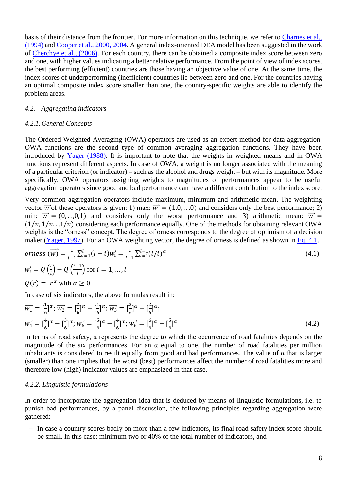basis of their distance from the frontier. For more information on this technique, we refer to [Charnes et al.,](#page-26-13) [\(1994\)](#page-26-13) and [Cooper et al.,](#page-26-14) 2000, [2004.](#page-26-15) A general index-oriented DEA model has been suggested in the work of [Cherchye et al.,](#page-26-16) (2006). For each country, there can be obtained a composite index score between zero and one, with higher values indicating a better relative performance. From the point of view of index scores, the best performing (efficient) countries are those having an objective value of one. At the same time, the index scores of underperforming (inefficient) countries lie between zero and one. For the countries having an optimal composite index score smaller than one, the country-specific weights are able to identify the problem areas.

#### *4.2. Aggregating indicators*

#### *4.2.1.General Concepts*

The Ordered Weighted Averaging (OWA) operators are used as an expert method for data aggregation. OWA functions are the second type of common averaging aggregation functions. They have been introduced by [Yager \(1988\).](#page-28-8) It is important to note that the weights in weighted means and in OWA functions represent different aspects. In case of OWA, a weight is no longer associated with the meaning of a particular criterion (or indicator) – such as the alcohol and drugs weight – but with its magnitude. More specifically, OWA operators assigning weights to magnitudes of performances appear to be useful aggregation operators since good and bad performance can have a different contribution to the index score.

Very common aggregation operators include maximum, minimum and arithmetic mean. The weighting vector  $\vec{w}$  of these operators is given: 1) max:  $\vec{w} = (1,0,...,0)$  and considers only the best performance; 2) min:  $\vec{w} = (0, \dots, 0, 1)$  and considers only the worst performance and 3) arithmetic mean:  $\vec{w} =$  $(1/n, 1/n, \ldots, 1/n)$  considering each performance equally. One of the methods for obtaining relevant OWA weights is the "orness" concept. The degree of orness corresponds to the degree of optimism of a decision maker [\(Yager, 1997\)](#page-28-9). For an OWA weighting vector, the degree of orness is defined as shown in [Eq. 4.1.](#page-8-0)

<span id="page-8-0"></span>
$$
orness\ (\overrightarrow{w)} = \frac{1}{l-1} \sum_{i=1}^{l} (l-i) \overrightarrow{w_i} = \frac{1}{l-1} \sum_{i=1}^{l-1} (l/i)^{\alpha}
$$
\n
$$
\overrightarrow{w_i} = Q\left(\frac{i}{l}\right) - Q\left(\frac{i-1}{l}\right) \text{ for } i = 1, \dots, l
$$
\n
$$
Q(r) = r^{\alpha} \text{ with } \alpha \ge 0
$$
\n(4.1)

In case of six indicators, the above formulas result in:

<span id="page-8-1"></span>
$$
\overrightarrow{w_1} = \left[\frac{1}{6}\right] \alpha; \overrightarrow{w_2} = \left[\frac{2}{6}\right] \alpha - \left[\frac{1}{6}\right] \alpha; \overrightarrow{w_3} = \left[\frac{3}{6}\right] \alpha - \left[\frac{2}{6}\right] \alpha;
$$
\n
$$
\overrightarrow{w_4} = \left[\frac{4}{6}\right] \alpha - \left[\frac{3}{6}\right] \alpha; \overrightarrow{w_5} = \left[\frac{5}{6}\right] \alpha - \left[\frac{4}{6}\right] \alpha; \overrightarrow{w_6} = \left[\frac{6}{6}\right] \alpha - \left[\frac{5}{6}\right] \alpha
$$
\n(4.2)

In terms of road safety, α represents the degree to which the occurrence of road fatalities depends on the magnitude of the six performances. For an  $\alpha$  equal to one, the number of road fatalities per million inhabitants is considered to result equally from good and bad performances. The value of  $\alpha$  that is larger (smaller) than one implies that the worst (best) performances affect the number of road fatalities more and therefore low (high) indicator values are emphasized in that case.

#### *4.2.2. Linguistic formulations*

In order to incorporate the aggregation idea that is deduced by means of linguistic formulations, i.e. to punish bad performances, by a panel discussion, the following principles regarding aggregation were gathered:

- In case a country scores badly on more than a few indicators, its final road safety index score should be small. In this case: minimum two or 40% of the total number of indicators, and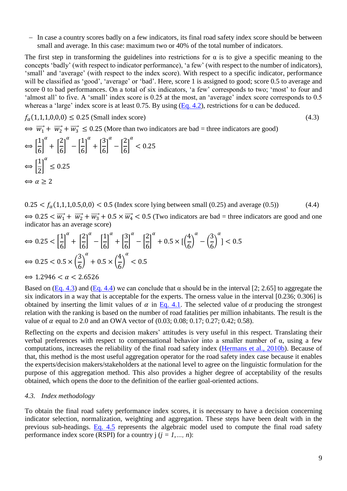- In case a country scores badly on a few indicators, its final road safety index score should be between small and average. In this case: maximum two or 40% of the total number of indicators.

The first step in transforming the guidelines into restrictions for  $\alpha$  is to give a specific meaning to the concepts 'badly' (with respect to indicator performance), 'a few' (with respect to the number of indicators), 'small' and 'average' (with respect to the index score). With respect to a specific indicator, performance will be classified as 'good', 'average' or 'bad'. Here, score 1 is assigned to good; score 0.5 to average and score 0 to bad performances. On a total of six indicators, 'a few' corresponds to two; 'most' to four and 'almost all' to five. A 'small' index score is 0.25 at the most, an 'average' index score corresponds to 0.5 whereas a 'large' index score is at least 0.75. By using [\(Eq. 4.2\)](#page-8-1), restrictions for  $\alpha$  can be deduced.

<span id="page-9-0"></span>
$$
f_{\alpha}(1,1,1,0,0,0) \le 0.25 \text{ (Small index score)}
$$
\n
$$
\Leftrightarrow \overrightarrow{w_1} + \overrightarrow{w_2} + \overrightarrow{w_3} \le 0.25 \text{ (More than two indicators are bad = three indicators are good)}
$$
\n
$$
\Leftrightarrow \left[\frac{1}{6}\right]^{\alpha} + \left[\frac{2}{6}\right]^{\alpha} - \left[\frac{1}{6}\right]^{\alpha} + \left[\frac{3}{6}\right]^{\alpha} - \left[\frac{2}{6}\right]^{\alpha} < 0.25
$$
\n
$$
\Leftrightarrow \left[\frac{1}{2}\right]^{\alpha} \le 0.25
$$
\n
$$
\Leftrightarrow \alpha \ge 2
$$
\n(4.3)

<span id="page-9-1"></span> $0.25 < f_{\alpha}(1,1,1,0.5,0,0) < 0.5$  (Index score lying between small (0.25) and average (0.5)) (4.4)

 $\Leftrightarrow 0.25 < \overrightarrow{w_1} + \overrightarrow{w_2} + \overrightarrow{w_3} + 0.5 \times \overrightarrow{w_4} < 0.5$  (Two indicators are bad = three indicators are good and one indicator has an average score)

$$
\Leftrightarrow 0.25 < \left[\frac{1}{6}\right]^\alpha + \left[\frac{2}{6}\right]^\alpha - \left[\frac{1}{6}\right]^\alpha + \left[\frac{3}{6}\right]^\alpha - \left[\frac{2}{6}\right]^\alpha + 0.5 \times \left[\left(\frac{4}{6}\right)^\alpha - \left(\frac{3}{6}\right)^\alpha\right] < 0.5
$$
\n
$$
\Leftrightarrow 0.25 < 0.5 \times \left(\frac{3}{6}\right)^\alpha + 0.5 \times \left(\frac{4}{6}\right)^\alpha < 0.5
$$

#### $\Leftrightarrow$  1.2946  $< \alpha <$  2.6526

Based on [\(Eq. 4.3\)](#page-9-0) and [\(Eq. 4.4\)](#page-9-1) we can conclude that  $\alpha$  should be in the interval [2; 2.65] to aggregate the six indicators in a way that is acceptable for the experts. The orness value in the interval [0.236; 0.306] is obtained by inserting the limit values of  $\alpha$  in [Eq. 4.1.](#page-8-0) The selected value of  $\alpha$  producing the strongest relation with the ranking is based on the number of road fatalities per million inhabitants. The result is the value of  $\alpha$  equal to 2.0 and an OWA vector of (0.03; 0.08; 0.17; 0.27; 0.42; 0.58).

Reflecting on the experts and decision makers' attitudes is very useful in this respect. Translating their verbal preferences with respect to compensational behavior into a smaller number of α, using a few computations, increases the reliability of the final road safety index [\(Hermans et al., 2010b\)](#page-27-16). Because of that, this method is the most useful aggregation operator for the road safety index case because it enables the experts/decision makers/stakeholders at the national level to agree on the linguistic formulation for the purpose of this aggregation method. This also provides a higher degree of acceptability of the results obtained, which opens the door to the definition of the earlier goal-oriented actions.

#### *4.3. Index methodology*

To obtain the final road safety performance index scores, it is necessary to have a decision concerning indicator selection, normalization, weighting and aggregation. These steps have been dealt with in the previous sub-headings. [Eq. 4.5](#page-10-0) represents the algebraic model used to compute the final road safety performance index score (RSPI) for a country  $j$  ( $j = 1, ..., n$ ):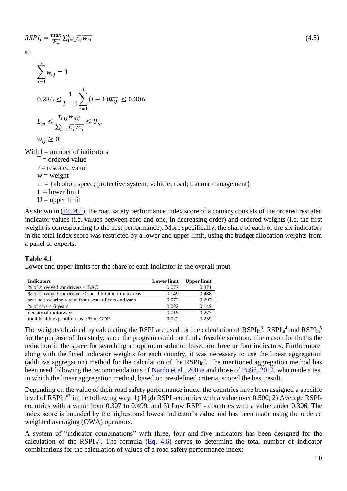$$
RSPI_j = \frac{max}{w_{ij}} \sum_{i=1}^{l} \overline{r_{ij}} \overline{w_{ij}}
$$

$$
\quad \text{s.t.} \quad
$$

<span id="page-10-0"></span>
$$
\sum_{i=1}^{l} \overline{w_{ij}} = 1
$$
\n
$$
0.236 \le \frac{1}{l-1} \sum_{i=1}^{l} (l-1)\overline{w_{ij}} \le 0.306
$$
\n
$$
L_m \le \frac{r_{mj}w_{mj}}{\sum_{i=1}^{l} \overline{r_{ij}} \overline{w_{ij}}} \le U_m
$$
\n
$$
\overline{w_{ij}} \ge 0
$$

With  $l =$  number of indicators

 $=$  ordered value

 $r =$  rescaled value

 $w = weight$ 

 $m = {alcohol; speed; protective system; vehicle; road; trauma management}$ 

 $L =$ lower limit

 $U =$ upper limit

As shown in [\(Eq. 4.5\)](#page-10-0), the road safety performance index score of a country consists of the ordered rescaled indicator values (i.e. values between zero and one, in decreasing order) and ordered weights (i.e. the first weight is corresponding to the best performance). More specifically, the share of each of the six indicators in the total index score was restricted by a lower and upper limit, using the budget allocation weights from a panel of experts.

#### **Table 4.1**

Lower and upper limits for the share of each indicator in the overall input

| <b>Indicators</b>                                      | <b>Lower limit</b> | <b>Upper limit</b> |
|--------------------------------------------------------|--------------------|--------------------|
| % of surveyed car drivers $<$ BAC                      | 0.077              | 0.371              |
| % of surveyed car drivers < speed limit in urban areas | 0.149              | 0.488              |
| seat belt wearing rate at front seats of cars and vans | 0.072              | 0.297              |
| % of cars $< 6$ years                                  | 0.022              | 0.149              |
| density of motorways                                   | 0.015              | 0.277              |
| total health expenditure as a % of GDP                 | 0.022              | 0.239              |

The weights obtained by calculating the RSPI are used for the calculation of  $RSPI_{ln}^3$ ,  $RSPI_{ln}^4$  and  $RSPI_{ln}^5$ for the purpose of this study, since the program could not find a feasible solution. The reason for that is the reduction in the space for searching an optimum solution based on three or four indicators. Furthermore, along with the fixed indicator weights for each country, it was necessary to use the linear aggregation (additive aggregation) method for the calculation of the  $RSPI<sub>ln</sub><sup>n</sup>$ . The mentioned aggregation method has been used following the recommendations of [Nardo et al.,](#page-27-5) 2005a and those of [Pešić, 2012,](#page-27-7) who made a test in which the linear aggregation method, based on pre-defined criteria, scored the best result.

Depending on the value of their road safety performance index, the countries have been assigned a specific level of  $RSPI_{\ln}$ <sup>n\*</sup> in the following way: 1) High RSPI -countries with a value over 0.500; 2) Average RSPIcountries with a value from 0.307 to 0.499; and 3) Low RSPI - countries with a value under 0.306. The index score is bounded by the highest and lowest indicator's value and has been made using the ordered weighted averaging (OWA) operators.

A system of "indicator combinations" with three, four and five indicators has been designed for the calculation of the RSPI<sub>ln</sub><sup>n</sup>. The formula ( $Eq. 4.6$ ) serves to determine the total number of indicator combinations for the calculation of values of a road safety performance index: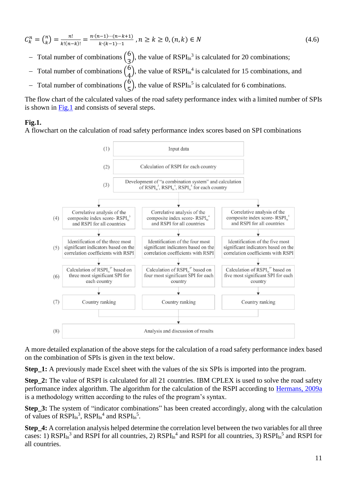$$
C_k^n = \binom{n}{k} = \frac{n!}{k!(n-k)!} = \frac{n \cdot (n-1) \cdots (n-k+1)}{k \cdot (k-1) \cdots 1}, n \ge k \ge 0, (n, k) \in N
$$
\n(4.6)

- <span id="page-11-0"></span>- Total number of combinations  $\binom{6}{2}$  $\binom{0}{3}$ , the value of RSPI<sub>ln</sub><sup>3</sup> is calculated for 20 combinations;
- Total number of combinations  $\binom{6}{4}$  $\begin{pmatrix} 0 \\ 4 \end{pmatrix}$ , the value of RSPI<sub>In</sub><sup>4</sup> is calculated for 15 combinations, and
- Total number of combinations  $\binom{6}{5}$  $\binom{6}{5}$ , the value of RSPI<sub>ln</sub><sup>5</sup> is calculated for 6 combinations.

The flow chart of the calculated values of the road safety performance index with a limited number of SPIs is shown in [Fig.1](#page-11-1) and consists of several steps.

# <span id="page-11-1"></span>**Fig.1.**

A flowchart on the calculation of road safety performance index scores based on SPI combinations



A more detailed explanation of the above steps for the calculation of a road safety performance index based on the combination of SPIs is given in the text below.

**Step\_1:** A previously made Excel sheet with the values of the six SPIs is imported into the program.

**Step 2:** The value of RSPI is calculated for all 21 countries. IBM CPLEX is used to solve the road safety performance index algorithm. The algorithm for the calculation of the RSPI according to [Hermans, 2009a](#page-27-11) is a methodology written according to the rules of the program's syntax.

**Step\_3:** The system of "indicator combinations" has been created accordingly, along with the calculation of values of  $\text{RSPI}_{\text{ln}}^3$ ,  $\text{RSPI}_{\text{ln}}^4$  and  $\text{RSPI}_{\text{ln}}^5$ .

**Step\_4:** A correlation analysis helped determine the correlation level between the two variables for all three cases: 1)  $RSPI_{ln}^3$  and RSPI for all countries, 2)  $RSPI_{ln}^4$  and RSPI for all countries, 3)  $RSPI_{ln}^5$  and RSPI for all countries.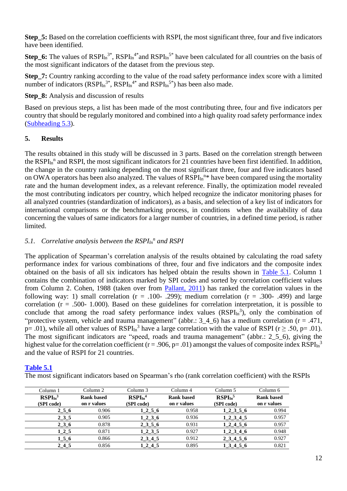**Step 5:** Based on the correlation coefficients with RSPI, the most significant three, four and five indicators have been identified.

**Step\_6:** The values of  $RSPI_{ln}^{3*}$ ,  $RSPI_{ln}^{4*}$  and  $RSPI_{ln}^{5*}$  have been calculated for all countries on the basis of the most significant indicators of the dataset from the previous step.

**Step\_7:** Country ranking according to the value of the road safety performance index score with a limited number of indicators ( $\text{RSPI}_{\text{ln}}^{3*}$ ,  $\text{RSPI}_{\text{ln}}^{4*}$  and  $\text{RSPI}_{\text{ln}}^{5*}$ ) has been also made.

**Step\_8:** Analysis and discussion of results

Based on previous steps, a list has been made of the most contributing three, four and five indicators per country that should be regularly monitored and combined into a high quality road safety performance index [\(Subheading 5.3\)](#page-15-0).

# **5. Results**

The results obtained in this study will be discussed in 3 parts. Based on the correlation strength between the RSPI<sub>ln</sub><sup>n</sup> and RSPI, the most significant indicators for 21 countries have been first identified. In addition, the change in the country ranking depending on the most significant three, four and five indicators based on OWA operators has been also analyzed. The values of RSPI<sub>ln</sub><sup>n\*</sup> have been compared using the mortality rate and the human development index, as a relevant reference. Finally, the optimization model revealed the most contributing indicators per country, which helped recognize the indicator monitoring phases for all analyzed countries (standardization of indicators), as a basis, and selection of a key list of indicators for international comparisons or the benchmarking process, in conditions when the availability of data concerning the values of same indicators for a larger number of countries, in a defined time period, is rather limited.

# 5.1. *Correlative analysis between the RSPI<sub>ln</sub><sup>n</sup> and RSPI*

The application of Spearman's correlation analysis of the results obtained by calculating the road safety performance index for various combinations of three, four and five indicators and the composite index obtained on the basis of all six indicators has helped obtain the results shown in [Table 5.1.](#page-6-0) Column 1 contains the combination of indicators marked by SPI codes and sorted by correlation coefficient values from Column 2. Cohen, 1988 (taken over from [Pallant, 2011\)](#page-27-17) has ranked the correlation values in the following way: 1) small correlation ( $r = .100 - .299$ ); medium correlation ( $r = .300 - .499$ ) and large correlation ( $r = .500 - 1.000$ ). Based on these guidelines for correlation interpretation, it is possible to conclude that among the road safety performance index values  $(RSPI<sub>ln</sub><sup>3</sup>)$ , only the combination of "protective system, vehicle and trauma management" (abbr.:  $3\_4\_6$ ) has a medium correlation (r = .471, p= .01), while all other values of  $RSPI_{ln}^3$  have a large correlation with the value of RSPI (r  $\geq$  .50, p= .01). The most significant indicators are "speed, roads and trauma management" (abbr.: 2\_5\_6), giving the highest value for the correlation coefficient ( $r = .906$ ,  $p = .01$ ) amongst the values of composite index RSPI $_{\text{In}}$ <sup>3</sup> and the value of RSPI for 21 countries.

# **Table 5.1**

The most significant indicators based on Spearman's rho (rank correlation coefficient) with the RSPIs

| Column 1                                      | Column 2                         | Column 3                                      | Column 4                         | Column 5                                      | Column 6                         |
|-----------------------------------------------|----------------------------------|-----------------------------------------------|----------------------------------|-----------------------------------------------|----------------------------------|
| RSPI <sub>ln</sub> <sup>3</sup><br>(SPI code) | <b>Rank based</b><br>on r values | RSPI <sub>ln</sub> <sup>4</sup><br>(SPI code) | <b>Rank based</b><br>on r values | RSPI <sub>ln</sub> <sup>5</sup><br>(SPI code) | <b>Rank based</b><br>on r values |
| 2 5 6                                         | 0.906                            | 1 2 5 6                                       | 0.958                            | 1 2 3 5 6                                     | 0.994                            |
| 2 3 5                                         | 0.905                            | 1 2 3 6                                       | 0.936                            | 1 2 3 4 5                                     | 0.957                            |
| 2, 3, 6                                       | 0.878                            | 2 3 5 6                                       | 0.931                            | 1 2 4 5 6                                     | 0.957                            |
| 125                                           | 0.871                            | 1 2 3 5                                       | 0.927                            | 1 2 3 4 6                                     | 0.948                            |
| 1, 5, 6                                       | 0.866                            | 2 3 4 5                                       | 0.912                            | 2 3 4 5 6                                     | 0.927                            |
| 2 4 5                                         | 0.856                            | 1245                                          | 0.895                            | 1 3 4 5 6                                     | 0.821                            |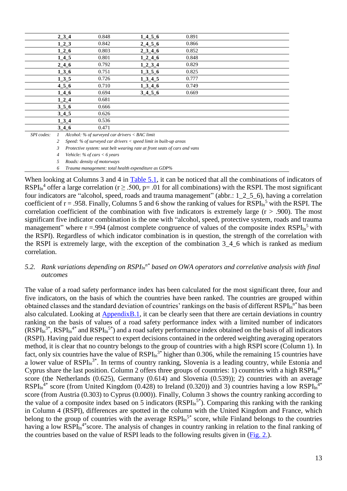|            |   | $2 - 3 - 4$                       | 0.848                                              | $1_4_5_6$                                                                 | 0.891 |
|------------|---|-----------------------------------|----------------------------------------------------|---------------------------------------------------------------------------|-------|
|            |   | $1\quad2\quad3$                   | 0.842                                              | 2, 4, 5, 6                                                                | 0.866 |
|            |   | 126                               | 0.803                                              | 2, 3, 4, 6                                                                | 0.852 |
|            |   | $1_{-}4_{-}5$                     | 0.801                                              | $1\_2\_4\_6$                                                              | 0.848 |
|            |   | 246                               | 0.792                                              | 1, 2, 3, 4                                                                | 0.829 |
|            |   | $1_{-.3\_6}$                      | 0.751                                              | $1\_3\_5\_6$                                                              | 0.825 |
|            |   | 1 <sub>35</sub>                   | 0.726                                              | 1, 3, 4, 5                                                                | 0.777 |
|            |   | $4_{-}5_{-}6$                     | 0.710                                              | $1\_3\_4\_6$                                                              | 0.749 |
|            |   | $1_{-4_{-6}}$                     | 0.694                                              | $3\_4\_5\_6$                                                              | 0.669 |
|            |   | $1_{24}$                          | 0.681                                              |                                                                           |       |
|            |   | $3_{-}5_{-}6$                     | 0.666                                              |                                                                           |       |
|            |   | $3 - 4 - 5$                       | 0.626                                              |                                                                           |       |
|            |   | 1 <sub>3</sub> 4                  | 0.536                                              |                                                                           |       |
|            |   | 346                               | 0.471                                              |                                                                           |       |
| SPI codes: |   |                                   | Alcohol: $%$ of surveyed car drivers $<$ BAC limit |                                                                           |       |
|            | 2 |                                   |                                                    | Speed: $%$ of surveyed car drivers $<$ speed limit in built-up areas      |       |
|            | 3 |                                   |                                                    | Protective system: seat belt wearing rate at front seats of cars and vans |       |
|            | 4 | Vehicle: $\%$ of cars $<$ 6 years |                                                    |                                                                           |       |
|            | 5 | Roads: density of motorways       |                                                    |                                                                           |       |

*6 Trauma management: total health expenditure as GDP%*

When looking at Columns 3 and 4 in [Table 5.1,](#page-6-0) it can be noticed that all the combinations of indicators of RSPI<sub>ln</sub><sup>4</sup> offer a large correlation ( $r \ge 0.500$ ,  $p = 0.01$  for all combinations) with the RSPI. The most significant four indicators are "alcohol, speed, roads and trauma management" (abbr.: 1\_2\_5\_6), having a correlation coefficient of  $r = .958$ . Finally, Columns 5 and 6 show the ranking of values for  $RSPI_n^5$  with the RSPI. The correlation coefficient of the combination with five indicators is extremely large  $(r > .900)$ . The most significant five indicator combination is the one with "alcohol, speed, protective system, roads and trauma management" where  $r = .994$  (almost complete congruence of values of the composite index  $RSPI<sub>ln</sub><sup>5</sup>$  with the RSPI). Regardless of which indicator combination is in question, the strength of the correlation with the RSPI is extremely large, with the exception of the combination 3\_4\_6 which is ranked as medium correlation.

#### 5.2. Rank variations depending on RSPI<sub>ln</sub><sup>n\*</sup> based on OWA operators and correlative analysis with final *outcomes*

The value of a road safety performance index has been calculated for the most significant three, four and five indicators, on the basis of which the countries have been ranked. The countries are grouped within obtained classes and the standard deviation of countries' rankings on the basis of different RSPI<sub>ln</sub><sup>n\*</sup> has been also calculated. Looking at **AppendixB.1**, it can be clearly seen that there are certain deviations in country ranking on the basis of values of a road safety performance index with a limited number of indicators  $(RSPI<sub>ln</sub><sup>3*</sup>, RSPI<sub>ln</sub><sup>4*</sup>$  and  $RSPI<sub>ln</sub><sup>5*</sup>)$  and a road safety performance index obtained on the basis of all indicators (RSPI). Having paid due respect to expert decisions contained in the ordered weighting averaging operators method, it is clear that no country belongs to the group of countries with a high RSPI score (Column 1). In fact, only six countries have the value of  $RSPI_{ln}^{3*}$  higher than 0.306, while the remaining 15 countries have a lower value of  $RSPI_{ln}^{3*}$ . In terms of country ranking, Slovenia is a leading country, while Estonia and Cyprus share the last position. Column 2 offers three groups of countries: 1) countries with a high  $RSPI<sub>ln</sub><sup>4*</sup>$ score (the Netherlands (0.625), Germany (0.614) and Slovenia (0.539)); 2) countries with an average  $RSPI_{\text{ln}}^{4*}$  score (from United Kingdom (0.428) to Ireland (0.320)) and 3) countries having a low  $RSPI_{\text{ln}}^{4*}$ score (from Austria (0.303) to Cyprus (0.000)). Finally, Column 3 shows the country ranking according to the value of a composite index based on 5 indicators  $(RSPI<sub>ln</sub><sup>5*</sup>)$ . Comparing this ranking with the ranking in Column 4 (RSPI), differences are spotted in the column with the United Kingdom and France, which belong to the group of countries with the average  $RSPI<sub>ln</sub>$ <sup>5\*</sup> score, while Finland belongs to the countries having a low RSPI<sub>ln</sub><sup>4\*</sup>score. The analysis of changes in country ranking in relation to the final ranking of the countries based on the value of RSPI leads to the following results given in [\(Fig. 2.\)](#page-14-0).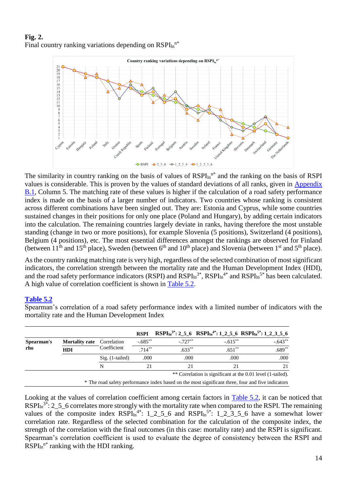<span id="page-14-0"></span>



The similarity in country ranking on the basis of values of  $RSPI_{ln}^{n*}$  and the ranking on the basis of RSPI values is considerable. This is proven by the values of standard deviations of all ranks, given in [Appendix](#page-25-0)  [B.1,](#page-25-0) Column 5. The matching rate of these values is higher if the calculation of a road safety performance index is made on the basis of a larger number of indicators. Two countries whose ranking is consistent across different combinations have been singled out. They are: Estonia and Cyprus, while some countries sustained changes in their positions for only one place (Poland and Hungary), by adding certain indicators into the calculation. The remaining countries largely deviate in ranks, having therefore the most unstable standing (change in two or more positions), for example Slovenia (5 positions), Switzerland (4 positions), Belgium (4 positions), etc. The most essential differences amongst the rankings are observed for Finland (between  $11^{\text{th}}$  and  $15^{\text{th}}$  place), Sweden (between  $6^{\text{th}}$  and  $10^{\text{th}}$  place) and Slovenia (between  $1^{\text{st}}$  and  $5^{\text{th}}$  place).

As the country ranking matching rate is very high, regardless of the selected combination of most significant indicators, the correlation strength between the mortality rate and the Human Development Index (HDI), and the road safety performance indicators (RSPI) and  $RSPI_{ln}^{3*}$ ,  $RSPI_{ln}^{4*}$  and  $RSPI_{ln}^{5*}$  has been calculated. A high value of correlation coefficient is shown in [Table 5.2.](#page-14-1)

#### <span id="page-14-1"></span>**Table 5.2**

|            |                                   |                   | <b>RSPI</b> |           |            | $RSPIln3*: 2_5_6 RSPIln4*: 1_2_5_6 RSPIln5*: 1_2_3_5_6$     |
|------------|-----------------------------------|-------------------|-------------|-----------|------------|-------------------------------------------------------------|
| Spearman's | <b>Mortality rate</b> Correlation |                   | $-.685***$  | $-.727**$ | $-.615***$ | $-.643**$                                                   |
| rho        | <b>HDI</b>                        | Coefficient       | $.714***$   | $.633**$  | $.651**$   | $.689**$                                                    |
|            |                                   | $Sig. (1-tailed)$ | .000        | .000      | .000       | .000                                                        |
|            |                                   |                   |             |           |            |                                                             |
|            |                                   |                   |             |           |            | ** Correlation is significant at the 0.01 level (1-tailed). |

Spearman's correlation of a road safety performance index with a limited number of indicators with the mortality rate and the Human Development Index

\* The road safety performance index based on the most significant three, four and five indicators

<span id="page-14-2"></span>Looking at the values of correlation coefficient among certain factors in Table 5.2, it can be noticed that  $RSPI_{\text{ln}}^{3*}$ : 2\_5\_6 correlates more strongly with the mortality rate when compared to the RSPI. The remaining values of the composite index  $RSPI_{\ln}^{4*}$ : 1\_2\_5\_6 and  $RSPI_{\ln}^{5*}$ : 1\_2\_3\_5\_6 have a somewhat lower correlation rate. Regardless of the selected combination for the calculation of the composite index, the strength of the correlation with the final outcomes (in this case: mortality rate) and the RSPI is significant. Spearman's correlation coefficient is used to evaluate the degree of consistency between the RSPI and  $RSPI_{ln}^{n*}$  ranking with the HDI ranking.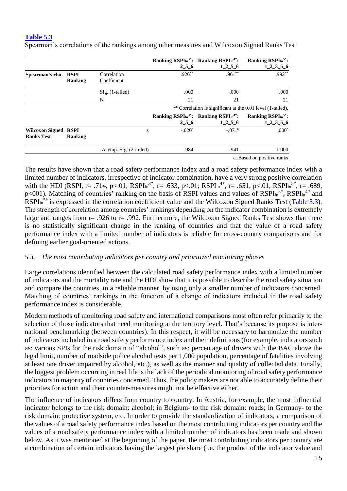# **Table 5.3**

Spearman's correlations of the rankings among other measures and Wilcoxon Signed Ranks Test

|                                                  |                               |                            | Ranking $RSPIln3*:$<br>2,5,6 | Ranking $RSPIln4*:$<br>$1_{2.56}$                                   | Ranking $RSPIln5*$ :<br>1, 2, 3, 5, 6 |
|--------------------------------------------------|-------------------------------|----------------------------|------------------------------|---------------------------------------------------------------------|---------------------------------------|
| Spearman's rho                                   | <b>RSPI</b><br><b>Ranking</b> | Correlation<br>Coefficient | $.926***$                    | $.961***$                                                           | $.992**$                              |
|                                                  |                               | $Sig.$ (1-tailed)          | .000                         | .000                                                                | .000                                  |
|                                                  |                               | N                          | 21                           | 21                                                                  | 21                                    |
|                                                  |                               |                            |                              | ** Correlation is significant at the 0.01 level (1-tailed).         |                                       |
|                                                  |                               |                            | 2,5,6                        | Ranking $RSPI_{ln}^{3*}$ : Ranking $RSPI_{ln}^{4*}$ :<br>$1_{2.56}$ | Ranking $RSPIln5*:$<br>1, 2, 3, 5, 6  |
| <b>Wilcoxon Signed RSPI</b><br><b>Ranks Test</b> | <b>Ranking</b>                |                            | $-.020a$<br>Z.               | $-.071a$                                                            | .000 <sup>a</sup>                     |
|                                                  |                               | Asymp. Sig. (2-tailed)     | .984                         | .941                                                                | 1.000                                 |
|                                                  |                               |                            |                              |                                                                     | a. Based on positive ranks            |

The results have shown that a road safety performance index and a road safety performance index with a limited number of indicators, irrespective of indicator combination, have a very strong positive correlation with the HDI (RSPI, r= .714, p<.01; RSPI<sub>ln</sub><sup>3\*</sup>, r= .633, p<.01; RSPI<sub>ln</sub><sup>4\*</sup>, r= .651, p<.01, RSPI<sub>ln</sub><sup>5\*</sup>, r= .689, p<001). Matching of countries' ranking on the basis of RSPI values and values of  $RSPI_{ln}^{3*}$ ,  $RSPI_{ln}^{4*}$  and RSPI<sub>In</sub><sup>5\*</sup> is expressed in the correlation coefficient value and the Wilcoxon Signed Ranks Test [\(Table 5.3\)](#page-14-2). The strength of correlation among countries' rankings depending on the indicator combination is extremely large and ranges from r= .926 to r= .992. Furthermore, the Wilcoxon Signed Ranks Test shows that there is no statistically significant change in the ranking of countries and that the value of a road safety performance index with a limited number of indicators is reliable for cross-country comparisons and for defining earlier goal-oriented actions.

# <span id="page-15-0"></span>*5.3. The most contributing indicators per country and prioritized monitoring phases*

Large correlations identified between the calculated road safety performance index with a limited number of indicators and the mortality rate and the HDI show that it is possible to describe the road safety situation and compare the countries, in a reliable manner, by using only a smaller number of indicators concerned. Matching of countries' rankings in the function of a change of indicators included in the road safety performance index is considerable.

Modern methods of monitoring road safety and international comparisons most often refer primarily to the selection of those indicators that need monitoring at the territory level. That's because its purpose is international benchmarking (between countries). In this respect, it will be necessary to harmonize the number of indicators included in a road safety performance index and their definitions (for example, indicators such as: various SPIs for the risk domain of "alcohol", such as: percentage of drivers with the BAC above the legal limit, number of roadside police alcohol tests per 1,000 population, percentage of fatalities involving at least one driver impaired by alcohol, etc.), as well as the manner and quality of collected data. Finally, the biggest problem occurring in real life is the lack of the periodical monitoring of road safety performance indicators in majority of countries concerned. Thus, the policy makers are not able to accurately define their priorities for action and their counter-measures might not be effective either.

The influence of indicators differs from country to country. In Austria, for example, the most influential indicator belongs to the risk domain: alcohol; in Belgium- to the risk domain: roads; in Germany- to the risk domain: protective system, etc. In order to provide the standardization of indicators, a comparison of the values of a road safety performance index based on the most contributing indicators per country and the values of a road safety performance index with a limited number of indicators has been made and shown below. As it was mentioned at the beginning of the paper, the most contributing indicators per country are a combination of certain indicators having the largest pie share (i.e. the product of the indicator value and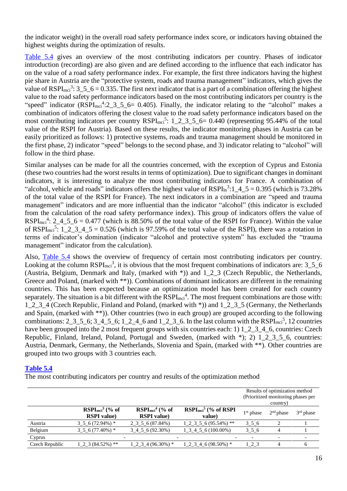the indicator weight) in the overall road safety performance index score, or indicators having obtained the highest weights during the optimization of results.

[Table 5.4](#page-16-0) gives an overview of the most contributing indicators per country. Phases of indicator introduction (recording) are also given and are defined according to the influence that each indicator has on the value of a road safety performance index. For example, the first three indicators having the highest pie share in Austria are the "protective system, roads and trauma management" indicators, which gives the value of  $RSPI_{\text{mci}}^3$ : 3\_5\_6 = 0.335. The first next indicator that is a part of a combination offering the highest value to the road safety performance indicators based on the most contributing indicators per country is the "speed" indicator ( $RSPI_{\text{mc}i}$ <sup>4</sup>:2\_3\_5\_6= 0.405). Finally, the indicator relating to the "alcohol" makes a combination of indicators offering the closest value to the road safety performance indicators based on the most contributing indicators per country  $RSPI_{\text{mci}}^5$ : 1\_2\_3\_5\_6= 0.440 (representing 95.44% of the total value of the RSPI for Austria). Based on these results, the indicator monitoring phases in Austria can be easily prioritized as follows: 1) protective systems, roads and trauma management should be monitored in the first phase, 2) indicator "speed" belongs to the second phase, and 3) indicator relating to "alcohol" will follow in the third phase.

Similar analyses can be made for all the countries concerned, with the exception of Cyprus and Estonia (these two countries had the worst results in terms of optimization). Due to significant changes in dominant indicators, it is interesting to analyze the most contributing indicators for France. A combination of "alcohol, vehicle and roads" indicators offers the highest value of  $\text{RSPI}_{\text{ln}}^3$ :1\_4\_5 = 0.395 (which is 73.28%) of the total value of the RSPI for France). The next indicators in a combination are "speed and trauma management" indicators and are more influential than the indicator "alcohol" (this indicator is excluded from the calculation of the road safety performance index). This group of indicators offers the value of RSPI<sub>mci</sub><sup>4</sup>: 2\_4\_5\_6 = 0.477 (which is 88.50% of the total value of the RSPI for France). Within the value of RSPI<sub>mci</sub><sup>5</sup>:  $1\_2\_3\_4\_5 = 0.526$  (which is 97.59% of the total value of the RSPI), there was a rotation in terms of indicator's domination (indicator "alcohol and protective system" has excluded the "trauma management" indicator from the calculation).

Also, [Table 5.4](#page-16-0) shows the overview of frequency of certain most contributing indicators per country. Looking at the column  $\text{RSPI}_{\text{mci}}^3$ , it is obvious that the most frequent combinations of indicators are: 3\_5\_6 (Austria, Belgium, Denmark and Italy, (marked with \*)) and 1\_2\_3 (Czech Republic, the Netherlands, Greece and Poland, (marked with \*\*)). Combinations of dominant indicators are different in the remaining countries. This has been expected because an optimization model has been created for each country separately. The situation is a bit different with the  $RSPI_{\text{mci}}^4$ . The most frequent combinations are those with: 1\_2\_3\_4 (Czech Republic, Finland and Poland, (marked with \*)) and 1\_2\_3\_5 (Germany, the Netherlands and Spain, (marked with \*\*)). Other countries (two in each group) are grouped according to the following combinations:  $2\_3\_5\_6$ ;  $3\_4\_5\_6$ ;  $1\_2\_4\_6$  and  $1\_2\_3\_6$ . In the last column with the RSPI<sub>mci</sub><sup>5</sup>, 12 countries have been grouped into the 2 most frequent groups with six countries each: 1) 1\_2\_3\_4\_6, countries: Czech Republic, Finland, Ireland, Poland, Portugal and Sweden, (marked with \*); 2) 1\_2\_3\_5\_6, countries: Austria, Denmark, Germany, the Netherlands, Slovenia and Spain, (marked with \*\*). Other countries are grouped into two groups with 3 countries each.

# <span id="page-16-0"></span>**Table 5.4**

The most contributing indicators per country and results of the optimization method

|                |                                                          |                                                          |                                 |                   | Results of optimization method<br>(Prioritized monitoring phases per<br>country) |             |
|----------------|----------------------------------------------------------|----------------------------------------------------------|---------------------------------|-------------------|----------------------------------------------------------------------------------|-------------|
|                | $\text{RSPI}_{\text{mci}}^3$ (% of<br><b>RSPI</b> value) | $\text{RSPI}_{\text{mci}}^4$ (% of<br><b>RSPI</b> value) | $RSPImci5$ (% of RSPI<br>value) | $1st$ phase       | $2nd$ phase                                                                      | $3rd$ phase |
| Austria        | $3\_5\_6(72.94\%)$ *                                     | $2 \quad 3 \quad 5 \quad 6 \quad (87.84\%)$              | $1\_2\_3\_5\_6(95.54\%)$ **     | 3 5 6             |                                                                                  |             |
| Belgium        | $3\; 5\; 6\; (77.40\%) *$                                | $3\,4\,5\,6\,(92.30\%)$                                  | $1\,3\,4\,5\,6\,(100.00\%)$     | $3\quad 5\quad 6$ | 4                                                                                |             |
| Cyprus         |                                                          |                                                          |                                 |                   |                                                                                  |             |
| Czech Republic | $1\_2\_3(84.52\%)$ **                                    | $1\_2\_3\_4(96.30\%)$ *                                  | $1\_2\_3\_4\_6$ (98.50%) *      | $1\,2\,3$         | 4                                                                                |             |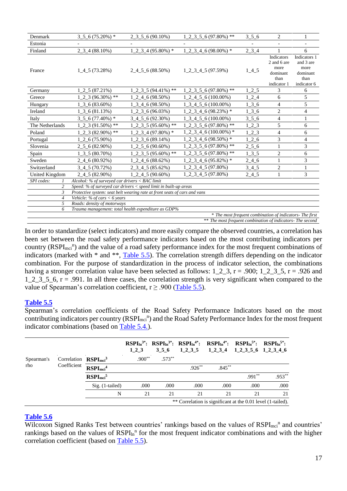| Denmark               | $3\_5\_6(75.20\%)$ *                                                      | $2\_3\_5\_6(90.10\%)$    | $1\_2\_3\_5\_6$ (97.80%) **                                                                                            | $3 - 5 - 6$   | 2                                                                    |                                                                      |
|-----------------------|---------------------------------------------------------------------------|--------------------------|------------------------------------------------------------------------------------------------------------------------|---------------|----------------------------------------------------------------------|----------------------------------------------------------------------|
| Estonia               |                                                                           |                          |                                                                                                                        |               | $\overline{a}$                                                       |                                                                      |
| Finland               | $2\_3\_4(88.10\%)$                                                        | $1\_2\_3\_4(95.80\%)$ *  | $1\_2\_3\_4\_6$ (98.00%) *                                                                                             | $2 - 3 - 4$   |                                                                      | 6                                                                    |
| France                | $1_4_5(73.28\%)$                                                          | $2 - 4 - 5 - 6(88.50\%)$ | $1\_2\_3\_4\_5$ (97.59%)                                                                                               | $1 \, 4 \, 5$ | Indicators<br>2 and 6 are<br>more<br>dominant<br>than<br>indicator 1 | Indicators 1<br>and 3 are<br>more<br>dominant<br>than<br>indicator 6 |
| Germany               | $1\_2\_5(87.21\%)$                                                        | $1\_2\_3\_5(94.41\%)$ ** | 1_2_3_5_6 (97.80%) **                                                                                                  | $1\_2\_5$     | 3                                                                    | 6                                                                    |
| Greece                | $1\_2\_3(96.30\%)$ **                                                     | $1\_2\_4\_6(98.50\%)$    | $1\_2\_4\_5\_6(100.00\%)$                                                                                              | $1\_2\_4$     | 6                                                                    | 5                                                                    |
| Hungary               | $1\_3\_6(83.60\%)$                                                        | $1\_3\_4\_6(98.50\%)$    | $1\_3\_4\_5\_6(100.00\%)$                                                                                              | $1_{-.3}$ 6   | 4                                                                    | 5                                                                    |
| Ireland               | $1\_3\_6(81.13%)$                                                         | $1\_2\_3\_6(96.03\%)$    | $1 \quad 2 \quad 3 \quad 4 \quad 6 \quad (98.23\%)$ *                                                                  | $1_{-.3\_6}$  | $\overline{c}$                                                       | $\overline{4}$                                                       |
| Italy                 | $3\_5\_6(77.40\%)$ *                                                      | $3-4-5-6(92.30%)$        | $1\_3\_4\_5\_6(100.00\%)$                                                                                              | $3_{-}5_{-}6$ | 4                                                                    |                                                                      |
| The Netherlands       | $1\_2\_3(91.50\%)$ **                                                     | $1\_2\_3\_5(95.60\%)$ ** | $1\_2\_3\_5\_6$ (97.80%) **                                                                                            | $1_{2_{3}}$   | 5                                                                    | 6                                                                    |
| Poland                | $1\_2\_3(82.90\%)$ **                                                     | $1\_2\_3\_4$ (97.80%) *  | $1 \quad 2 \quad 3 \quad 4 \quad 6 \quad (100.00\%)$ *                                                                 | $1_{2_{3}}$   | 4                                                                    | 6                                                                    |
| Portugal              | $1\_2\_6(75.90\%)$                                                        | $1\_2\_3\_6(89.14\%)$    | $1\_2\_3\_4\_6$ (98.50%) *                                                                                             | $1_{-2_{-6}}$ | 3                                                                    | $\overline{4}$                                                       |
| Slovenia              | 2_5_6 (82.90%)                                                            | $1, 2, 5, 6$ (90.60%)    | 1_2_3_5_6 (97.80%) **                                                                                                  | $2\_5\_6$     | 1                                                                    | 3                                                                    |
| Spain                 | $1\_3\_5(80.70\%)$                                                        | $1\_2\_3\_5(95.60\%)$ ** | $1\_2\_3\_5\_6$ (97.80%) **                                                                                            | $1_{-.3\_5}$  | $\overline{c}$                                                       | 6                                                                    |
| Sweden                | $2_4_6(80.92\%)$                                                          | $1\_2\_4\_6(88.62\%)$    | $1\_2\_3\_4\_6(95.82%)$ *                                                                                              | $2 - 4 - 6$   | 1                                                                    | 3                                                                    |
| Switzerland           | $3_4_5(70.72%)$                                                           | $2\_3\_4\_5(85.62\%)$    | $1 \quad 2 \quad 3 \quad 4 \quad 5 \quad (97.80\%)$                                                                    | $3 - 4 - 5$   | $\mathbf{2}$                                                         | 1                                                                    |
| <b>United Kingdom</b> | $2\_4\_5(82.90\%)$                                                        | $1, 2, 4, 5$ (90.60%)    | 1_2_3_4_5 (97.80%)                                                                                                     | $2 - 4 - 5$   | 1                                                                    | 3                                                                    |
| SPI codes:            | Alcohol: $%$ of surveyed car drivers $<$ BAC limit                        |                          |                                                                                                                        |               |                                                                      |                                                                      |
| $\overline{c}$        | Speed: $%$ of surveyed car drivers $<$ speed limit in built-up areas      |                          |                                                                                                                        |               |                                                                      |                                                                      |
| $\overline{3}$        | Protective system: seat belt wearing rate at front seats of cars and vans |                          |                                                                                                                        |               |                                                                      |                                                                      |
| $\overline{4}$        | Vehicle: % of cars $<$ 6 years                                            |                          |                                                                                                                        |               |                                                                      |                                                                      |
| 5                     | Roads: density of motorways                                               |                          |                                                                                                                        |               |                                                                      |                                                                      |
| 6                     | Trauma management: total health expenditure as GDP%                       |                          |                                                                                                                        |               |                                                                      |                                                                      |
|                       |                                                                           |                          | * The most frequent combination of indicators- The first<br>** The most frequent combination of indicators- The second |               |                                                                      |                                                                      |

In order to standardize (select indicators) and more easily compare the observed countries, a correlation has been set between the road safety performance indicators based on the most contributing indicators per country (RSPI<sub>mci</sub><sup>n</sup>) and the value of a road safety performance index for the most frequent combinations of indicators (marked with \* and \*\*, [Table 5.5\)](#page-17-0). The correlation strength differs depending on the indicator combination. For the purpose of standardization in the process of indicator selection, the combinations having a stronger correlation value have been selected as follows:  $1\_2\_3$ ,  $r = .900$ ;  $1\_2\_3\_5$ ,  $r = .926$  and 1 2 3 5 6, r = .991. In all three cases, the correlation strength is very significant when compared to the value of Spearman's correlation coefficient,  $r \ge 0.900$  [\(Table 5.5\)](#page-17-0).

#### <span id="page-17-0"></span>**Table 5.5**

Spearman's correlation coefficients of the Road Safety Performance Indicators based on the most contributing indicators per country (RSPI<sub>mci</sub><sup>n</sup>) and the Road Safety Performance Index for the most frequent indicator combinations (based on [Table 5.4.\)](#page-16-0).

|            |                                   |                       | 1 2 3    | 356       | $\text{RSPI}_{\ln}^{3*}: \text{RSPI}_{\ln}^{3*}: \text{RSPI}_{\ln}^{4*}: \text{RSPI}_{\ln}^{4*}: \text{RSPI}_{\ln}^{5*}: \text{RSPI}_{\ln}^{5*}:$ |           | $1, 2, 3, 5$ $1, 2, 3, 4$ $1, 2, 3, 5, 6$ $1, 2, 3, 4, 6$ |           |
|------------|-----------------------------------|-----------------------|----------|-----------|---------------------------------------------------------------------------------------------------------------------------------------------------|-----------|-----------------------------------------------------------|-----------|
| Spearman's | Correlation $RSPI_{\text{mci}}^3$ |                       | $.900**$ | $.573***$ |                                                                                                                                                   |           |                                                           |           |
| rho        | Coefficient                       | $RSPI_{\text{mci}}^4$ |          |           | $.926***$                                                                                                                                         | $.845***$ |                                                           |           |
|            |                                   | $RSPI_{\text{mci}}^5$ |          |           |                                                                                                                                                   |           | $.991**$                                                  | $.953***$ |
|            |                                   | $Sig.$ (1-tailed)     | .000     | .000      | .000                                                                                                                                              | .000      | .000                                                      | .000      |
|            |                                   | N                     | 21       | 21        | 21                                                                                                                                                | 21        | 21                                                        | 21        |
|            |                                   |                       |          |           | ** Correlation is significant at the 0.01 level (1-tailed).                                                                                       |           |                                                           |           |

# <span id="page-17-1"></span>**Table 5.6**

Wilcoxon Signed Ranks Test between countries' rankings based on the values of RSPI<sub>mci</sub>n and countries' rankings based on the values of RSPI<sub>ln</sub><sup>n</sup> for the most frequent indicator combinations and with the higher correlation coefficient (based on [Table 5.5\)](#page-17-0).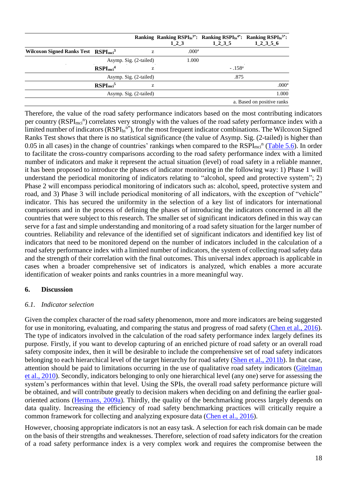|                                                             |                       |                        | 1 2 3             | Ranking Ranking RSPI $\ln^{3*}$ : Ranking RSPI $\ln^{4*}$ : Ranking RSPI $\ln^{5*}$ :<br>1 2 3 5 | 1, 2, 3, 5, 6              |
|-------------------------------------------------------------|-----------------------|------------------------|-------------------|--------------------------------------------------------------------------------------------------|----------------------------|
| Wilcoxon Signed Ranks Test RSPI <sub>mci</sub> <sup>3</sup> |                       | Z                      | .000 <sup>a</sup> |                                                                                                  |                            |
|                                                             |                       | Asymp. Sig. (2-tailed) | 1.000             |                                                                                                  |                            |
|                                                             | $RSPI_{\text{mei}}^4$ | z                      |                   | $-.158a$                                                                                         |                            |
|                                                             |                       | Asymp. Sig. (2-tailed) |                   | .875                                                                                             |                            |
|                                                             | $RSPI_{\text{mci}}^5$ | z                      |                   |                                                                                                  | .000 <sup>a</sup>          |
|                                                             |                       | Asymp. Sig. (2-tailed) |                   |                                                                                                  | 1.000                      |
|                                                             |                       |                        |                   |                                                                                                  | a. Based on positive ranks |

Therefore, the value of the road safety performance indicators based on the most contributing indicators per country (RSPI<sub>mci</sub><sup>n</sup>) correlates very strongly with the values of the road safety performance index with a limited number of indicators (RSPI<sub>ln</sub><sup>n\*</sup>), for the most frequent indicator combinations. The Wilcoxon Signed Ranks Test shows that there is no statistical significance (the value of Asymp. Sig. (2-tailed) is higher than 0.05 in all cases) in the change of countries' rankings when compared to the  $RSPI_{\text{mci}}^n$  [\(Table 5.6\)](#page-17-1). In order to facilitate the cross-country comparisons according to the road safety performance index with a limited number of indicators and make it represent the actual situation (level) of road safety in a reliable manner, it has been proposed to introduce the phases of indicator monitoring in the following way: 1) Phase 1 will understand the periodical monitoring of indicators relating to "alcohol, speed and protective system"; 2) Phase 2 will encompass periodical monitoring of indicators such as: alcohol, speed, protective system and road, and 3) Phase 3 will include periodical monitoring of all indicators, with the exception of "vehicle" indicator. This has secured the uniformity in the selection of a key list of indicators for international comparisons and in the process of defining the phases of introducing the indicators concerned in all the countries that were subject to this research. The smaller set of significant indicators defined in this way can serve for a fast and simple understanding and monitoring of a road safety situation for the larger number of countries. Reliability and relevance of the identified set of significant indicators and identified key list of indicators that need to be monitored depend on the number of indicators included in the calculation of a road safety performance index with a limited number of indicators, the system of collecting road safety data and the strength of their correlation with the final outcomes. This universal index approach is applicable in cases when a broader comprehensive set of indicators is analyzed, which enables a more accurate identification of weaker points and ranks countries in a more meaningful way.

# **6. Discussion**

#### *6.1. Indicator selection*

Given the complex character of the road safety phenomenon, more and more indicators are being suggested for use in monitoring, evaluating, and comparing the status and progress of road safety [\(Chen et al.,](#page-26-8) 2016). The type of indicators involved in the calculation of the road safety performance index largely defines its purpose. Firstly, if you want to develop capturing of an enriched picture of road safety or an overall road safety composite index, then it will be desirable to include the comprehensive set of road safety indicators belonging to each hierarchical level of the target hierarchy for road safety [\(Shen et al.,](#page-28-2) 2011b). In that case, attention should be paid to limitations occurring in the use of qualitative road safety indicators [\(Gitelman](#page-26-6)  et al., [2010\)](#page-26-6). Secondly, indicators belonging to only one hierarchical level (any one) serve for assessing the system's performances within that level. Using the SPIs, the overall road safety performance picture will be obtained, and will contribute greatly to decision makers when deciding on and defining the earlier goaloriented actions [\(Hermans, 2009a\)](#page-27-11). Thirdly, the quality of the benchmarking process largely depends on data quality. Increasing the efficiency of road safety benchmarking practices will critically require a common framework for collecting and analyzing exposure data [\(Chen](#page-26-8) et al., 2016).

However, choosing appropriate indicators is not an easy task. A selection for each risk domain can be made on the basis of their strengths and weaknesses. Therefore, selection of road safety indicators for the creation of a road safety performance index is a very complex work and requires the compromise between the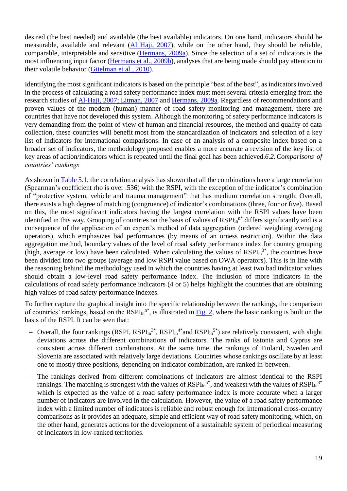desired (the best needed) and available (the best available) indicators. On one hand, indicators should be measurable, available and relevant [\(Al Haji, 2007\)](#page-26-1), while on the other hand, they should be reliable, comparable, interpretable and sensitive [\(Hermans, 2009a\)](#page-27-11). Since the selection of a set of indicators is the most influencing input factor [\(Hermans et al.,](#page-27-0) 2009b), analyses that are being made should pay attention to their volatile behavior [\(Gitelman et al.,](#page-26-6) 2010).

Identifying the most significant indicators is based on the principle "best of the best", as indicators involved in the process of calculating a road safety performance index must meet several criteria emerging from the research studies of [Al-Haji, 2007;](#page-26-1) [Litman, 2007](#page-27-18) and [Hermans, 2009a.](#page-27-11) Regardless of recommendations and proven values of the modern (human) manner of road safety monitoring and management, there are countries that have not developed this system. Although the monitoring of safety performance indicators is very demanding from the point of view of human and financial resources, the method and quality of data collection, these countries will benefit most from the standardization of indicators and selection of a key list of indicators for international comparisons. In case of an analysis of a composite index based on a broader set of indicators, the methodology proposed enables a more accurate a revision of the key list of key areas of action/indicators which is repeated until the final goal has been achieved.*6.2.Comparisons of countries' rankings* 

As shown in [Table 5.1,](#page-6-0) the correlation analysis has shown that all the combinations have a large correlation (Spearman's coefficient rho is over .536) with the RSPI, with the exception of the indicator's combination of "protective system, vehicle and trauma management" that has medium correlation strength. Overall, there exists a high degree of matching (congruence) of indicator's combinations (three, four or five). Based on this, the most significant indicators having the largest correlation with the RSPI values have been identified in this way. Grouping of countries on the basis of values of RSPI<sub>In</sub><sup>n\*</sup> differs significantly and is a consequence of the application of an expert's method of data aggregation (ordered weighting averaging operators), which emphasizes bad performances (by means of an orness restriction). Within the data aggregation method, boundary values of the level of road safety performance index for country grouping (high, average or low) have been calculated. When calculating the values of  $RSPI<sub>ln</sub><sup>3*</sup>$ , the countries have been divided into two groups (average and low RSPI value based on OWA operators). This is in line with the reasoning behind the methodology used in which the countries having at least two bad indicator values should obtain a low-level road safety performance index. The inclusion of more indicators in the calculations of road safety performance indicators (4 or 5) helps highlight the countries that are obtaining high values of road safety performance indexes.

To further capture the graphical insight into the specific relationship between the rankings, the comparison of countries' rankings, based on the  $RSPI_{ln}^{n*}$ , is illustrated in  $Fig. 2$ , where the basic ranking is built on the basis of the RSPI. It can be seen that:

- Overall, the four rankings (RSPI, RSPI $_{\ln}^{3*}$ , RSPI $_{\ln}^{4*}$  and RSPI $_{\ln}^{5*}$ ) are relatively consistent, with slight deviations across the different combinations of indicators. The ranks of Estonia and Cyprus are consistent across different combinations. At the same time, the rankings of Finland, Sweden and Slovenia are associated with relatively large deviations. Countries whose rankings oscillate by at least one to mostly three positions, depending on indicator combination, are ranked in-between.
- The rankings derived from different combinations of indicators are almost identical to the RSPI rankings. The matching is strongest with the values of  $RSPI_{ln}^{5*}$ , and weakest with the values of  $RSPI_{ln}^{3*}$ which is expected as the value of a road safety performance index is more accurate when a larger number of indicators are involved in the calculation. However, the value of a road safety performance index with a limited number of indicators is reliable and robust enough for international cross-country comparisons as it provides an adequate, simple and efficient way of road safety monitoring, which, on the other hand, generates actions for the development of a sustainable system of periodical measuring of indicators in low-ranked territories.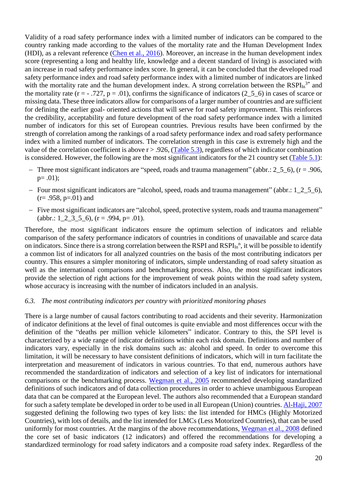Validity of a road safety performance index with a limited number of indicators can be compared to the country ranking made according to the values of the mortality rate and the Human Development Index (HDI), as a relevant reference [\(Chen et al.,](#page-26-8) 2016). Moreover, an increase in the human development index score (representing a long and healthy life, knowledge and a decent standard of living) is associated with an increase in road safety performance index score. In general, it can be concluded that the developed road safety performance index and road safety performance index with a limited number of indicators are linked with the mortality rate and the human development index. A strong correlation between the  $RSPI_{ln}^{3*}$  and the mortality rate (r =  $-$  .727, p = .01), confirms the significance of indicators (2–5–6) in cases of scarce or missing data. These three indicators allow for comparisons of a larger number of countries and are sufficient for defining the earlier goal- oriented actions that will serve for road safety improvement. This reinforces the credibility, acceptability and future development of the road safety performance index with a limited number of indicators for this set of European countries. Previous results have been confirmed by the strength of correlation among the rankings of a road safety performance index and road safety performance index with a limited number of indicators. The correlation strength in this case is extremely high and the value of the correlation coefficient is above  $r > .926$ , [\(Table 5.3\)](#page-14-2), regardless of which indicator combination is considered. However, the following are the most significant indicators for the 21 country set [\(Table 5.1\)](#page-6-0):

- Three most significant indicators are "speed, roads and trauma management" (abbr.: 2\_5\_6), (r = .906,  $p = .01$ ;
- Four most significant indicators are "alcohol, speed, roads and trauma management" (abbr.: 1\_2\_5\_6),  $(r=.958, p=.01)$  and
- Five most significant indicators are "alcohol, speed, protective system, roads and trauma management" (abbr.:  $1\_2\_3\_5\_6$ ), (r = .994, p= .01).

Therefore, the most significant indicators ensure the optimum selection of indicators and reliable comparison of the safety performance indicators of countries in conditions of unavailable and scarce data on indicators. Since there is a strong correlation between the RSPI and RSPI<sub>ln</sub><sup>n</sup>, it will be possible to identify a common list of indicators for all analyzed countries on the basis of the most contributing indicators per country. This ensures a simpler monitoring of indicators, simple understanding of road safety situation as well as the international comparisons and benchmarking process. Also, the most significant indicators provide the selection of right actions for the improvement of weak points within the road safety system, whose accuracy is increasing with the number of indicators included in an analysis.

#### *6.3. The most contributing indicators per country with prioritized monitoring phases*

There is a large number of causal factors contributing to road accidents and their severity. Harmonization of indicator definitions at the level of final outcomes is quite enviable and most differences occur with the definition of the "deaths per million vehicle kilometers" indicator. Contrary to this, the SPI level is characterized by a wide range of indicator definitions within each risk domain. Definitions and number of indicators vary, especially in the risk domains such as: alcohol and speed. In order to overcome this limitation, it will be necessary to have consistent definitions of indicators, which will in turn facilitate the interpretation and measurement of indicators in various countries. To that end, numerous authors have recommended the standardization of indicators and selection of a key list of indicators for international comparisons or the benchmarking process. [Wegman et al.,](#page-28-1) 2005 recommended developing standardized definitions of such indicators and of data collection procedures in order to achieve unambiguous European data that can be compared at the European level. The authors also recommended that a European standard for such a safety template be developed in order to be used in all European (Union) countries[. Al-Haji, 2007](#page-26-1) suggested defining the following two types of key lists: the list intended for HMCs (Highly Motorized Countries), with lots of details, and the list intended for LMCs (Less Motorized Countries), that can be used uniformly for most countries. At the margins of the above recommendations, [Wegman et al.,](#page-28-0) 2008 defined the core set of basic indicators (12 indicators) and offered the recommendations for developing a standardized terminology for road safety indicators and a composite road safety index. Regardless of the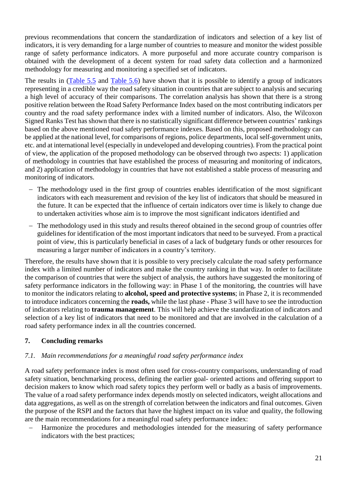previous recommendations that concern the standardization of indicators and selection of a key list of indicators, it is very demanding for a large number of countries to measure and monitor the widest possible range of safety performance indicators. A more purposeful and more accurate country comparison is obtained with the development of a decent system for road safety data collection and a harmonized methodology for measuring and monitoring a specified set of indicators.

The results in [\(Table 5.5](#page-17-0) and [Table 5.6\)](#page-17-1) have shown that it is possible to identify a group of indicators representing in a credible way the road safety situation in countries that are subject to analysis and securing a high level of accuracy of their comparisons. The correlation analysis has shown that there is a strong positive relation between the Road Safety Performance Index based on the most contributing indicators per country and the road safety performance index with a limited number of indicators. Also, the Wilcoxon Signed Ranks Test has shown that there is no statistically significant difference between countries' rankings based on the above mentioned road safety performance indexes. Based on this, proposed methodology can be applied at the national level, for comparisons of regions, police departments, local self-government units, etc. and at international level (especially in undeveloped and developing countries). From the practical point of view, the application of the proposed methodology can be observed through two aspects: 1) application of methodology in countries that have established the process of measuring and monitoring of indicators, and 2) application of methodology in countries that have not established a stable process of measuring and monitoring of indicators.

- The methodology used in the first group of countries enables identification of the most significant indicators with each measurement and revision of the key list of indicators that should be measured in the future. It can be expected that the influence of certain indicators over time is likely to change due to undertaken activities whose aim is to improve the most significant indicators identified and
- The methodology used in this study and results thereof obtained in the second group of countries offer guidelines for identification of the most important indicators that need to be surveyed. From a practical point of view, this is particularly beneficial in cases of a lack of budgetary funds or other resources for measuring a larger number of indicators in a country's territory.

Therefore, the results have shown that it is possible to very precisely calculate the road safety performance index with a limited number of indicators and make the country ranking in that way. In order to facilitate the comparison of countries that were the subject of analysis, the authors have suggested the monitoring of safety performance indicators in the following way: in Phase 1 of the monitoring, the countries will have to monitor the indicators relating to **alcohol, speed and protective systems**; in Phase 2, it is recommended to introduce indicators concerning the **roads,** while the last phase - Phase 3 will have to see the introduction of indicators relating to **trauma management**. This will help achieve the standardization of indicators and selection of a key list of indicators that need to be monitored and that are involved in the calculation of a road safety performance index in all the countries concerned.

# **7. Concluding remarks**

# *7.1. Main recommendations for a meaningful road safety performance index*

A road safety performance index is most often used for cross-country comparisons, understanding of road safety situation, benchmarking process, defining the earlier goal- oriented actions and offering support to decision makers to know which road safety topics they perform well or badly as a basis of improvements. The value of a road safety performance index depends mostly on selected indicators, weight allocations and data aggregations, as well as on the strength of correlation between the indicators and final outcomes. Given the purpose of the RSPI and the factors that have the highest impact on its value and quality, the following are the main recommendations for a meaningful road safety performance index:

- Harmonize the procedures and methodologies intended for the measuring of safety performance indicators with the best practices;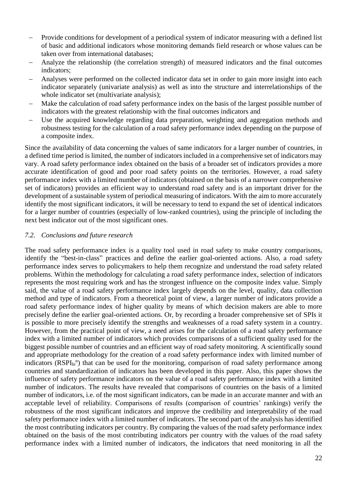- Provide conditions for development of a periodical system of indicator measuring with a defined list of basic and additional indicators whose monitoring demands field research or whose values can be taken over from international databases;
- Analyze the relationship (the correlation strength) of measured indicators and the final outcomes indicators;
- Analyses were performed on the collected indicator data set in order to gain more insight into each indicator separately (univariate analysis) as well as into the structure and interrelationships of the whole indicator set (multivariate analysis);
- Make the calculation of road safety performance index on the basis of the largest possible number of indicators with the greatest relationship with the final outcomes indicators and
- Use the acquired knowledge regarding data preparation, weighting and aggregation methods and robustness testing for the calculation of a road safety performance index depending on the purpose of a composite index.

Since the availability of data concerning the values of same indicators for a larger number of countries, in a defined time period is limited, the number of indicators included in a comprehensive set of indicators may vary. A road safety performance index obtained on the basis of a broader set of indicators provides a more accurate identification of good and poor road safety points on the territories. However, a road safety performance index with a limited number of indicators (obtained on the basis of a narrower comprehensive set of indicators) provides an efficient way to understand road safety and is an important driver for the development of a sustainable system of periodical measuring of indicators. With the aim to more accurately identify the most significant indicators, it will be necessary to tend to expand the set of identical indicators for a larger number of countries (especially of low-ranked countries), using the principle of including the next best indicator out of the most significant ones.

#### *7.2. Conclusions and future research*

The road safety performance index is a quality tool used in road safety to make country comparisons, identify the "best-in-class" practices and define the earlier goal-oriented actions. Also, a road safety performance index serves to policymakers to help them recognize and understand the road safety related problems. Within the methodology for calculating a road safety performance index, selection of indicators represents the most requiring work and has the strongest influence on the composite index value. Simply said, the value of a road safety performance index largely depends on the level, quality, data collection method and type of indicators. From a theoretical point of view, a larger number of indicators provide a road safety performance index of higher quality by means of which decision makers are able to more precisely define the earlier goal-oriented actions. Or, by recording a broader comprehensive set of SPIs it is possible to more precisely identify the strengths and weaknesses of a road safety system in a country. However, from the practical point of view, a need arises for the calculation of a road safety performance index with a limited number of indicators which provides comparisons of a sufficient quality used for the biggest possible number of countries and an efficient way of road safety monitoring. A scientifically sound and appropriate methodology for the creation of a road safety performance index with limited number of indicators (RSPI<sub>ln</sub><sup>n</sup>) that can be used for the monitoring, comparison of road safety performance among countries and standardization of indicators has been developed in this paper. Also, this paper shows the influence of safety performance indicators on the value of a road safety performance index with a limited number of indicators. The results have revealed that comparisons of countries on the basis of a limited number of indicators, i.e. of the most significant indicators, can be made in an accurate manner and with an acceptable level of reliability. Comparisons of results (comparison of countries' rankings) verify the robustness of the most significant indicators and improve the credibility and interpretability of the road safety performance index with a limited number of indicators. The second part of the analysis has identified the most contributing indicators per country. By comparing the values of the road safety performance index obtained on the basis of the most contributing indicators per country with the values of the road safety performance index with a limited number of indicators, the indicators that need monitoring in all the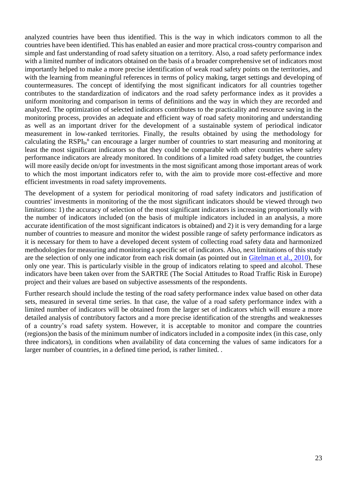analyzed countries have been thus identified. This is the way in which indicators common to all the countries have been identified. This has enabled an easier and more practical cross-country comparison and simple and fast understanding of road safety situation on a territory. Also, a road safety performance index with a limited number of indicators obtained on the basis of a broader comprehensive set of indicators most importantly helped to make a more precise identification of weak road safety points on the territories, and with the learning from meaningful references in terms of policy making, target settings and developing of countermeasures. The concept of identifying the most significant indicators for all countries together contributes to the standardization of indicators and the road safety performance index as it provides a uniform monitoring and comparison in terms of definitions and the way in which they are recorded and analyzed. The optimization of selected indicators contributes to the practicality and resource saving in the monitoring process, provides an adequate and efficient way of road safety monitoring and understanding as well as an important driver for the development of a sustainable system of periodical indicator measurement in low-ranked territories. Finally, the results obtained by using the methodology for calculating the RSPI<sub>ln</sub><sup>n</sup> can encourage a larger number of countries to start measuring and monitoring at least the most significant indicators so that they could be comparable with other countries where safety performance indicators are already monitored. In conditions of a limited road safety budget, the countries will more easily decide on/opt for investments in the most significant among those important areas of work to which the most important indicators refer to, with the aim to provide more cost-effective and more efficient investments in road safety improvements.

The development of a system for periodical monitoring of road safety indicators and justification of countries' investments in monitoring of the the most significant indicators should be viewed through two limitations: 1) the accuracy of selection of the most significant indicators is increasing proportionally with the number of indicators included (on the basis of multiple indicators included in an analysis, a more accurate identification of the most significant indicators is obtained) and 2) it is very demanding for a large number of countries to measure and monitor the widest possible range of safety performance indicators as it is necessary for them to have a developed decent system of collecting road safety data and harmonized methodologies for measuring and monitoring a specific set of indicators. Also, next limitations of this study are the selection of only one indicator from each risk domain (as pointed out in [Gitelman et al.,](#page-26-6) 2010), for only one year. This is particularly visible in the group of indicators relating to speed and alcohol. These indicators have been taken over from the SARTRE (The Social Attitudes to Road Traffic Risk in Europe) project and their values are based on subjective assessments of the respondents.

Further research should include the testing of the road safety performance index value based on other data sets, measured in several time series. In that case, the value of a road safety performance index with a limited number of indicators will be obtained from the larger set of indicators which will ensure a more detailed analysis of contributory factors and a more precise identification of the strengths and weaknesses of a country's road safety system. However, it is acceptable to monitor and compare the countries (regions)on the basis of the minimum number of indicators included in a composite index (in this case, only three indicators), in conditions when availability of data concerning the values of same indicators for a larger number of countries, in a defined time period, is rather limited. .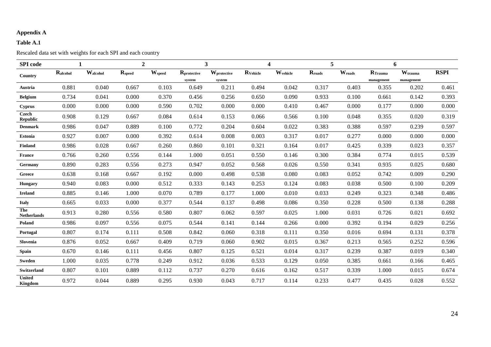#### **Appendix A**

#### **Table A.1**

Rescaled data set with weights for each SPI and each country

| <b>SPI</b> code                 |               |          | $\overline{2}$ |        |                               | 3                     | $\boldsymbol{4}$ |          | 5               |        | 6                                          |                                   |             |
|---------------------------------|---------------|----------|----------------|--------|-------------------------------|-----------------------|------------------|----------|-----------------|--------|--------------------------------------------|-----------------------------------|-------------|
| Country                         | $R_{alcohol}$ | Walcohol | $R_{speed}$    | Wspeed | <b>R</b> protective<br>system | Wprotective<br>system | Rvehicle         | Wvehicle | $R_{\rm roads}$ | Wroads | $\mathbf{R}_{\text{Trauma}}$<br>management | $W_{\text{trauma}}$<br>management | <b>RSPI</b> |
| Austria                         | 0.881         | 0.040    | 0.667          | 0.103  | 0.649                         | 0.211                 | 0.494            | 0.042    | 0.317           | 0.403  | 0.355                                      | 0.202                             | 0.461       |
| <b>Belgium</b>                  | 0.734         | 0.041    | 0.000          | 0.370  | 0.456                         | 0.256                 | 0.650            | 0.090    | 0.933           | 0.100  | 0.661                                      | 0.142                             | 0.393       |
| <b>Cyprus</b>                   | 0.000         | 0.000    | 0.000          | 0.590  | 0.702                         | 0.000                 | 0.000            | 0.410    | 0.467           | 0.000  | 0.177                                      | 0.000                             | 0.000       |
| <b>Czech</b><br><b>Republic</b> | 0.908         | 0.129    | 0.667          | 0.084  | 0.614                         | 0.153                 | 0.066            | 0.566    | 0.100           | 0.048  | 0.355                                      | 0.020                             | 0.319       |
| <b>Denmark</b>                  | 0.986         | 0.047    | 0.889          | 0.100  | 0.772                         | 0.204                 | 0.604            | 0.022    | 0.383           | 0.388  | 0.597                                      | 0.239                             | 0.597       |
| Estonia                         | 0.927         | 0.007    | 0.000          | 0.392  | 0.614                         | 0.008                 | 0.003            | 0.317    | 0.017           | 0.277  | 0.000                                      | 0.000                             | 0.000       |
| Finland                         | 0.986         | 0.028    | 0.667          | 0.260  | 0.860                         | 0.101                 | 0.321            | 0.164    | 0.017           | 0.425  | 0.339                                      | 0.023                             | 0.357       |
| France                          | 0.766         | 0.260    | 0.556          | 0.144  | 1.000                         | 0.051                 | 0.550            | 0.146    | 0.300           | 0.384  | 0.774                                      | 0.015                             | 0.539       |
| Germany                         | 0.890         | 0.283    | 0.556          | 0.273  | 0.947                         | 0.052                 | 0.568            | 0.026    | 0.550           | 0.341  | 0.935                                      | 0.025                             | 0.680       |
| Greece                          | 0.638         | 0.168    | 0.667          | 0.192  | 0.000                         | 0.498                 | 0.538            | 0.080    | 0.083           | 0.052  | 0.742                                      | 0.009                             | 0.290       |
| <b>Hungary</b>                  | 0.940         | 0.083    | 0.000          | 0.512  | 0.333                         | 0.143                 | 0.253            | 0.124    | 0.083           | 0.038  | 0.500                                      | 0.100                             | 0.209       |
| <b>Ireland</b>                  | 0.885         | 0.146    | 1.000          | 0.070  | 0.789                         | 0.177                 | 1.000            | 0.010    | 0.033           | 0.249  | 0.323                                      | 0.348                             | 0.486       |
| <b>Italy</b>                    | 0.665         | 0.033    | 0.000          | 0.377  | 0.544                         | 0.137                 | 0.498            | 0.086    | 0.350           | 0.228  | 0.500                                      | 0.138                             | 0.288       |
| The<br><b>Netherlands</b>       | 0.913         | 0.280    | 0.556          | 0.580  | 0.807                         | 0.062                 | 0.597            | 0.025    | 1.000           | 0.031  | 0.726                                      | 0.021                             | 0.692       |
| Poland                          | 0.986         | 0.097    | 0.556          | 0.075  | 0.544                         | 0.141                 | 0.144            | 0.266    | 0.000           | 0.392  | 0.194                                      | 0.029                             | 0.256       |
| Portugal                        | 0.807         | 0.174    | 0.111          | 0.508  | 0.842                         | 0.060                 | 0.318            | 0.111    | 0.350           | 0.016  | 0.694                                      | 0.131                             | 0.378       |
| Slovenia                        | 0.876         | 0.052    | 0.667          | 0.409  | 0.719                         | 0.060                 | 0.902            | 0.015    | 0.367           | 0.213  | 0.565                                      | 0.252                             | 0.596       |
| <b>Spain</b>                    | 0.670         | 0.146    | 0.111          | 0.456  | 0.807                         | 0.125                 | 0.521            | 0.014    | 0.317           | 0.239  | 0.387                                      | 0.019                             | 0.340       |
| <b>Sweden</b>                   | 1.000         | 0.035    | 0.778          | 0.249  | 0.912                         | 0.036                 | 0.533            | 0.129    | 0.050           | 0.385  | 0.661                                      | 0.166                             | 0.465       |
| <b>Switzerland</b>              | 0.807         | 0.101    | 0.889          | 0.112  | 0.737                         | 0.270                 | 0.616            | 0.162    | 0.517           | 0.339  | 1.000                                      | 0.015                             | 0.674       |
| <b>United</b><br>Kingdom        | 0.972         | 0.044    | 0.889          | 0.295  | 0.930                         | 0.043                 | 0.717            | 0.114    | 0.233           | 0.477  | 0.435                                      | 0.028                             | 0.552       |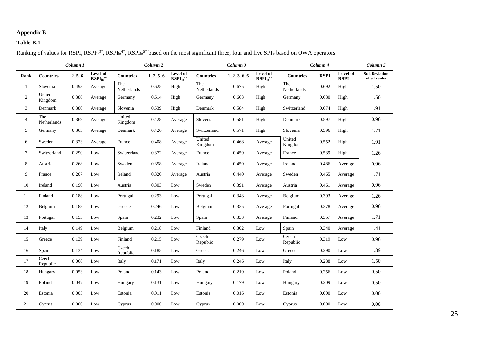#### **Appendix B**

#### **Table B.1**

Ranking of values for RSPI,  $RSPI_{ln}^{3*}$ ,  $RSPI_{ln}^{4*}$ ,  $RSPI_{ln}^{5*}$  based on the most significant three, four and five SPIs based on OWA operators

<span id="page-25-0"></span>

|                  | Column 1           |           |                                      | Column <sub>2</sub> |            |                                      |                    | Column 3        |                                      |                    | Column 4    |                         |                                       |
|------------------|--------------------|-----------|--------------------------------------|---------------------|------------|--------------------------------------|--------------------|-----------------|--------------------------------------|--------------------|-------------|-------------------------|---------------------------------------|
| Rank             | <b>Countries</b>   | $2\_5\_6$ | Level of<br>$\text{RSPI}_{\ln}^{3*}$ | <b>Countries</b>    | $1_{2.56}$ | Level of<br>$\text{RSPI}_{\ln}^{4*}$ | <b>Countries</b>   | $1\_2\_3\_6\_6$ | Level of<br>$\text{RSPI}_{\ln}^{5*}$ | <b>Countries</b>   | <b>RSPI</b> | Level of<br><b>RSPI</b> | <b>Std. Deviation</b><br>of all ranks |
| $\overline{1}$   | Slovenia           | 0.493     | Average                              | The<br>Netherlands  | 0.625      | High                                 | The<br>Netherlands | 0.675           | High                                 | The<br>Netherlands | 0.692       | High                    | 1.50                                  |
| 2                | United<br>Kingdom  | 0.386     | Average                              | Germany             | 0.614      | High                                 | Germany            | 0.663           | High                                 | Germany            | 0.680       | High                    | 1.50                                  |
| 3                | Denmark            | 0.380     | Average                              | Slovenia            | 0.539      | High                                 | Denmark            | 0.584           | High                                 | Switzerland        | 0.674       | High                    | 1.91                                  |
| 4                | The<br>Netherlands | 0.369     | Average                              | United<br>Kingdom   | 0.428      | Average                              | Slovenia           | 0.581           | High                                 | Denmark            | 0.597       | High                    | 0.96                                  |
| 5                | Germany            | 0.363     | Average                              | Denmark             | 0.426      | Average                              | Switzerland        | 0.571           | High                                 | Slovenia           | 0.596       | High                    | 1.71                                  |
| 6                | Sweden             | 0.323     | Average                              | France              | 0.408      | Average                              | United<br>Kingdom  | 0.468           | Average                              | United<br>Kingdom  | 0.552       | High                    | 1.91                                  |
| $\boldsymbol{7}$ | Switzerland        | 0.290     | Low                                  | Switzerland         | 0.372      | Average                              | France             | 0.459           | Average                              | France             | 0.539       | High                    | 1.26                                  |
| 8                | Austria            | 0.268     | Low                                  | Sweden              | 0.358      | Average                              | Ireland            | 0.459           | Average                              | Ireland            | 0.486       | Average                 | 0.96                                  |
| 9                | France             | 0.207     | Low                                  | Ireland             | 0.320      | Average                              | Austria            | 0.440           | Average                              | Sweden             | 0.465       | Average                 | 1.71                                  |
| 10               | Ireland            | 0.190     | Low                                  | Austria             | 0.303      | Low                                  | Sweden             | 0.391           | Average                              | Austria            | 0.461       | Average                 | 0.96                                  |
| 11               | Finland            | 0.188     | Low                                  | Portugal            | 0.293      | Low                                  | Portugal           | 0.343           | Average                              | Belgium            | 0.393       | Average                 | 1.26                                  |
| 12               | Belgium            | 0.188     | Low                                  | Greece              | 0.246      | Low                                  | Belgium            | 0.335           | Average                              | Portugal           | 0.378       | Average                 | 0.96                                  |
| 13               | Portugal           | 0.153     | Low                                  | Spain               | 0.232      | Low                                  | Spain              | 0.333           | Average                              | Finland            | 0.357       | Average                 | 1.71                                  |
| 14               | Italy              | 0.149     | Low                                  | Belgium             | 0.218      | Low                                  | Finland            | 0.302           | Low                                  | Spain              | 0.340       | Average                 | 1.41                                  |
| 15               | Greece             | 0.139     | Low                                  | Finland             | 0.215      | Low                                  | Czech<br>Republic  | 0.279           | Low                                  | Czech<br>Republic  | 0.319       | Low                     | 0.96                                  |
| 16               | Spain              | 0.134     | Low                                  | Czech<br>Republic   | 0.185      | Low                                  | Greece             | 0.246           | Low                                  | Greece             | 0.290       | Low                     | 1.89                                  |
| 17               | Czech<br>Republic  | 0.068     | Low                                  | Italy               | 0.171      | Low                                  | Italy              | 0.246           | Low                                  | Italy              | 0.288       | Low                     | 1.50                                  |
| 18               | Hungary            | 0.053     | Low                                  | Poland              | 0.143      | Low                                  | Poland             | 0.219           | Low                                  | Poland             | 0.256       | Low                     | 0.50                                  |
| 19               | Poland             | 0.047     | Low                                  | Hungary             | 0.131      | Low                                  | Hungary            | 0.179           | Low                                  | Hungary            | 0.209       | Low                     | 0.50                                  |
| 20               | Estonia            | 0.005     | Low                                  | Estonia             | 0.011      | Low                                  | Estonia            | 0.016           | Low                                  | Estonia            | 0.000       | Low                     | 0.00                                  |
| 21               | Cyprus             | 0.000     | Low                                  | Cyprus              | 0.000      | Low                                  | Cyprus             | 0.000           | Low                                  | Cyprus             | 0.000       | Low                     | 0.00                                  |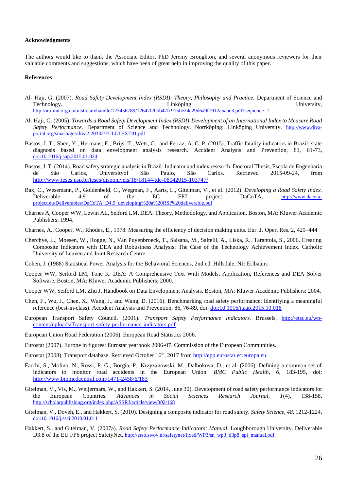#### **Acknowledgments**

The authors would like to thank the Associate Editor, PhD Jeremy Broughton, and several anonymous reviewers for their valuable comments and suggestions, which have been of great help in improving the quality of this paper.

#### **References**

- <span id="page-26-1"></span>Al- Haji, G. (2007). *Road Safety Development Index (RSDI): Theory, Philosophy and Practice.* Department of Science and Technology. Linköping University, <http://ir.nmu.org.ua/bitstream/handle/123456789/126470/0bb47fc915be24e29d6a9f7912a5abe3.pdf?sequence=1>
- <span id="page-26-0"></span>Al- Haji, G. (2005). *Towards a Road Safety Development Index (RSDI)-Development of an International Index to Measure Road Safety Performance.* Department of Science and Technology. Norrköping: Linköping University, [http://www.diva](http://www.diva-portal.org/smash/get/diva2:20332/FULLTEXT01.pdf)[portal.org/smash/get/diva2:20332/FULLTEXT01.pdf](http://www.diva-portal.org/smash/get/diva2:20332/FULLTEXT01.pdf)
- <span id="page-26-5"></span>Bastos, J. T., Shen, Y., Hermans, E., Brijs, T., Wets, G., and Ferraz, A. C. P. (2015). Traffic fatality indicators in Brazil: state diagnosis based on data envelopment analysis research. Accident Analysis and Prevention, 81, 61-73, [doi:10.1016/j.aap.2015.01.024](http://dx.doi.org/10.1016/j.aap.2015.01.024)
- <span id="page-26-4"></span>Bastos, J. T. (2014). Road safety strategic analysis in Brazil: Indicator and index research. Doctoral Thesis, Escola de Engenharia de São Carlos, Universityof São Paulo, São Carlos. Retrieved 2015-09-24, from <http://www.teses.usp.br/teses/disponiveis/18/18144/tde-08042015-103747/>
- <span id="page-26-2"></span>Bax, C., Wesemann, P., Goldenbeld, C., Wegman, F., Aarts, L., Gitelman, V., et al. (2012). *Developing a Road Safety Index.* Deliverable 4.9 of the EC FP7 project DaCoTA, [http://www.dacota](http://www.dacota-project.eu/Deliverables/DaCoTA_D4.9_developing%20a%20RSI%20deliverable.pdf)[project.eu/Deliverables/DaCoTA\\_D4.9\\_developing%20a%20RSI%20deliverable.pdf](http://www.dacota-project.eu/Deliverables/DaCoTA_D4.9_developing%20a%20RSI%20deliverable.pdf)
- <span id="page-26-13"></span>Charnes A, Cooper WW, Lewin AL, Seiford LM. DEA: Theory, Methodology, and Application. Boston, MA: Kluwer Academic Publishers; 1994.
- Charnes, A., Cooper, W., Rhodes, E., 1978. Measuring the efficiency of decision making units. Eur. J. Oper. Res. 2, 429–444
- <span id="page-26-16"></span>Cherchye, L., Moesen, W., Rogge, N., Van Puyenbroeck, T., Saisana, M., Saltelli, A., Liska, R., Tarantola, S., 2006. Creating Composite Indicators with DEA and Robustness Analysis: The Case of the Technology Achievement Index. Catholic University of Leuven and Joint Research Centre.
- Cohen, J. (1988) Statistical Power Analysis for the Behavioral Sciences, 2nd ed. Hillsdale, NJ: Erlbaum.
- <span id="page-26-14"></span>Cooper WW, Seiford LM, Tone K. DEA: A Comprehensive Text With Models, Application, References and DEA Solver Software. Boston, MA: Kluwer Academic Publishers; 2000.
- <span id="page-26-15"></span>Cooper WW, Seiford LM, Zhu J. Handbook on Data Envelopment Analysis. Boston, MA: Kluwer Academic Publishers; 2004.
- <span id="page-26-8"></span>Chen, F., Wu, J., Chen, X., Wang, J., and Wang, D. (2016). Benchmarking road safety performance: Identifying a meaningful reference (best-in-class). Accident Analysis and Prevention, 86, 76-89, doi: [doi:10.1016/j.aap.2015.10.018](http://dx.doi.org/10.1016/j.aap.2015.10.018)
- <span id="page-26-12"></span>European Transport Safety Council. (2001). *Transport Safety Performance Indicators.* Brussels, [http://etsc.eu/wp](http://etsc.eu/wp-content/uploads/Transport-safety-performance-indicators.pdf)[content/uploads/Transport-safety-performance-indicators.pdf](http://etsc.eu/wp-content/uploads/Transport-safety-performance-indicators.pdf)
- <span id="page-26-9"></span>European Union Road Federation (2006). European Road Statistics 2006.
- <span id="page-26-11"></span>Eurostat (2007). Europe in figures: Eurostat yearbook 2006-07. Commission of the European Communities.
- <span id="page-26-10"></span>Eurostat (2008). Transport database. Retrieved October 16th, 2017 fro[m http://epp.eurostat.ec.europa.eu.](http://epp.eurostat.ec.europa.eu/)
- <span id="page-26-7"></span>Farchi, S., Molino, N., Rossi, P. G., Borgia, P., Krzyzanowski, M., Dalbokova, D., et al. (2006). Defining a common set of indicators to monitor road accidents in the European Union. *BMC Public Health, 6*, 183-195, doi: <http://www.biomedcentral.com/1471-2458/6/183>
- <span id="page-26-3"></span>Gitelman, V., Vis, M., Weijermars, W., and Hakkert, S. (2014, June 30). Development of road safety performance indicators for the European Countries. *Advances in Social Sciences Research Journal, 1*(4), 138-158, <http://scholarpublishing.org/index.php/ASSRJ/article/view/302/168>
- <span id="page-26-6"></span>Gitelman, V., Doveh, E., and Hakkert, S. (2010). Designing a composite indicator for road safety. *Safety Science, 48*, 1212-1224, [doi:10.1016/j.ssci.2010.01.011](http://dx.doi.org/10.1016/j.ssci.2010.01.011)
- Hakkert, S., and Gitelman, V. (2007a). *Road Safety Performance Indicators: Manual.* Loughborough University. Deliverable D3.8 of the EU FP6 project SafetyNet, [http://erso.swov.nl/safetynet/fixed/WP3/sn\\_wp3\\_d3p8\\_spi\\_manual.pdf](http://erso.swov.nl/safetynet/fixed/WP3/sn_wp3_d3p8_spi_manual.pdf)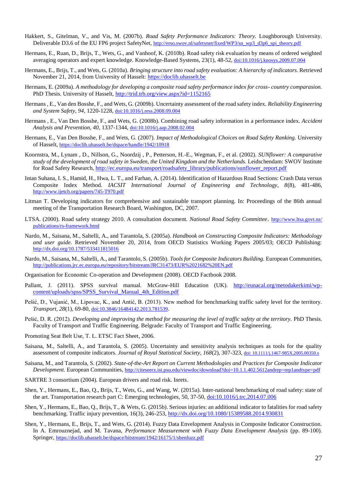- <span id="page-27-8"></span>Hakkert, S., Gitelman, V., and Vis, M. (2007b). *Road Safety Performance Indicators: Theory.* Loughborough University. Deliverable D3.6 of the EU FP6 project SafetyNet, [http://erso.swov.nl/safetynet/fixed/WP3/sn\\_wp3\\_d3p6\\_spi\\_theory.pdf](http://erso.swov.nl/safetynet/fixed/WP3/sn_wp3_d3p6_spi_theory.pdf)
- <span id="page-27-16"></span>Hermans, E., Ruan, D., Brijs, T., Wets, G., and Vanhoof, K. (2010b). Road safety risk evaluation by means of ordered weighted averaging operators and expert knowledge. Knowledge-Based Systems, 23(1), 48-52, [doi:10.1016/j.knosys.2009.07.004](http://dx.doi.org/10.1016/j.knosys.2009.07.004)
- Hermans, E., Brijs, T., and Wets, G. (2010a). *Bringing structure into road safety evaluation: A hierarchy of indicators*. Retrieved November 21, 2014, from University of Hasselt: [https://doclib.uhasselt.be](https://doclib.uhasselt.be/)
- <span id="page-27-11"></span>Hermans, E. (2009a). *A methodology for developing a composite road safety performance index for cross- country comparasion.* PhD Thesis. University of Hasselt,<http://trid.trb.org/view.aspx?id=1152165>
- <span id="page-27-0"></span>Hermans , E., Van den Bosshe, F., and Wets, G. (2009b). Uncertainty assessment of the road safety index. *Reliability Engineering and System Safety, 94*, 1220-1228, [doi:10.1016/j.ress.2008.09.004](http://dx.doi.org/10.1016/j.ress.2008.09.004)
- <span id="page-27-15"></span>Hermans , E., Van Den Bosshe, F., and Wets, G. (2008b). Combining road safety information in a performance index. *Accident Analysis and Prevention, 40*, 1337-1344, [doi:10.1016/j.aap.2008.02.004](http://dx.doi.org/10.1016/j.aap.2008.02.004)
- <span id="page-27-2"></span>Hermans, E., Van Den Bosshe, F., and Wets, G. (2007). *Impact of Methodological Choices on Road Safety Ranking.* University of Hasselt, <https://doclib.uhasselt.be/dspace/handle/1942/10918>
- <span id="page-27-9"></span>Koornstra, M., Lynam , D., Nillson, G., Noordzij , P., Petterson, H.-E., Wegman, F., et al. (2002). *SUNflower: A comparative study of the development of road safety in Sweden, the United Kingdom and the Netherlands.* Leidschendam: SWOV Institute for Road Safety Research, [http://ec.europa.eu/transport/roadsafety\\_library/publications/sunflower\\_report.pdf](http://ec.europa.eu/transport/roadsafety_library/publications/sunflower_report.pdf)
- <span id="page-27-12"></span>Intan Suhana, I. S., Hamid, H., Hwa, L. T., and Farhan, A. (2014). Identification of Hazardous Road Sections: Crash Data versus Composite Index Method. *IACSIT International Journal of Engineering and Technology, 8*(8), 481-486, <http://www.ijetch.org/papers/745-T970.pdf>
- <span id="page-27-18"></span>Litman T. Developing indicators for comprehensive and sustainable transport planning. In: Proceedings of the 86th annual meeting of the Transportation Research Board, Washington, DC, 2007.
- <span id="page-27-10"></span>LTSA. (2000). Road safety strategy 2010. A consultation document. *National Road Safety Committee*. [http://www.ltsa.govt.nz/](http://www.ltsa.govt.nz/%20publications/rs-framework.html)  [publications/rs-framework.html](http://www.ltsa.govt.nz/%20publications/rs-framework.html)
- <span id="page-27-5"></span>Nardo, M., Saisana, M., Saltelli, A., and Tarantola, S. (2005a). *Handbook on Constructing Composite Indicators: Methodology and user guide.* Retrieved November 20, 2014, from OECD Statistics Working Papers 2005/03; OECD Publishing: <http://dx.doi.org/10.1787/533411815016>
- <span id="page-27-6"></span>Nardo, M., Saisana, M., Saltelli, A., and Tarantolo, S. (2005b). *Tools for Composite Indicators Building.* European Communities, <http://publications.jrc.ec.europa.eu/repository/bitstream/JRC31473/EUR%2021682%20EN.pdf>
- <span id="page-27-14"></span>Organisation for Economic Co-operation and Development (2008). OECD Factbook 2008.
- <span id="page-27-17"></span>Pallant, J. (2011). SPSS survival manual. McGraw-Hill Education (UK). [http://eunacal.org/metodakerkimi/wp](http://eunacal.org/metodakerkimi/wp-content/uploads/spss/SPSS_Survival_Manual_4th_Edition.pdf)[content/uploads/spss/SPSS\\_Survival\\_Manual\\_4th\\_Edition.pdf](http://eunacal.org/metodakerkimi/wp-content/uploads/spss/SPSS_Survival_Manual_4th_Edition.pdf)
- Pešić, D., Vujanić, M., Lipovac, K., and Antić, B. (2013). New method for benchmarking traffic safety level for the territory. *Transport, 28*(1), 69-80, [doi:10.3846/16484142.2013.781539](http://www.tandfonline.com/doi/abs/10.3846/16484142.2013.781539#.VZhQUvmqqkp).
- <span id="page-27-7"></span>Pešić, D. R. (2012). *Developing and improving the method for measuring the level of traffic safety at the territory.* PhD Thesis. Faculty of Transport and Traffic Engineering. Belgrade: Faculty of Transport and Traffic Engineering.
- Promoting Seat Belt Use, T. L. ETSC Fact Sheet, 2006.
- <span id="page-27-4"></span>Saisana, M., Saltelli, A., and Tarantola, S. (2005). Uncertainty and sensitivity analysis techniques as tools for the quality assessment of composite indicators. *Journal of Royal Statistical Society, 168*(2), 307-323, doi: [10.1111/j.1467-985X.2005.00350.x](http://onlinelibrary.wiley.com/doi/10.1111/j.1467-985X.2005.00350.x/abstract;jsessionid=B77413EBCC80FF5A5E8A2FC516887F36.f01t03?userIsAuthenticated=false&deniedAccessCustomisedMessage=)
- <span id="page-27-3"></span>Saisana, M., and Tarantola, S. (2002). *State-of-the-Art Report on Current Methodologies and Practices for Composite Indicator Development.* European Communities, [http://citeseerx.ist.psu.edu/viewdoc/download?doi=10.1.1.402.5612andrep=rep1andtype=pdf](http://citeseerx.ist.psu.edu/viewdoc/download?doi=10.1.1.402.5612&rep=rep1&type=pdf)
- <span id="page-27-13"></span>SARTRE 3 consortium (2004). European drivers and road risk. Inrets.
- <span id="page-27-1"></span>Shen, Y., Hermans, E., Bao, Q., Brijs, T., Wets, G., and Wang, W. (2015a). Inter-national benchmarking of road safety: state of the art. Transportation research part C: Emerging technologies, 50, 37-50, doi:10.1016/j.trc.2014.07.006
- Shen, Y., Hermans, E., Bao, Q., Brijs, T., & Wets, G. (2015b). Serious injuries: an additional indicator to fatalities for road safety benchmarking. Traffic injury prevention, 16(3), 246-253,<http://dx.doi.org/10.1080/15389588.2014.930831>
- Shen, Y., Hermans, E., Brijs, T., and Wets, G. (2014). Fuzzy Data Envelopment Analysis in Composite Indicator Construction. In A. Emrouznejad, and M. Tavana, *Performance Measurement with Fuzzy Data Envelopment Analysis* (pp. 89-100). Springer, <https://doclib.uhasselt.be/dspace/bitstream/1942/16175/1/shenfuzz.pdf>